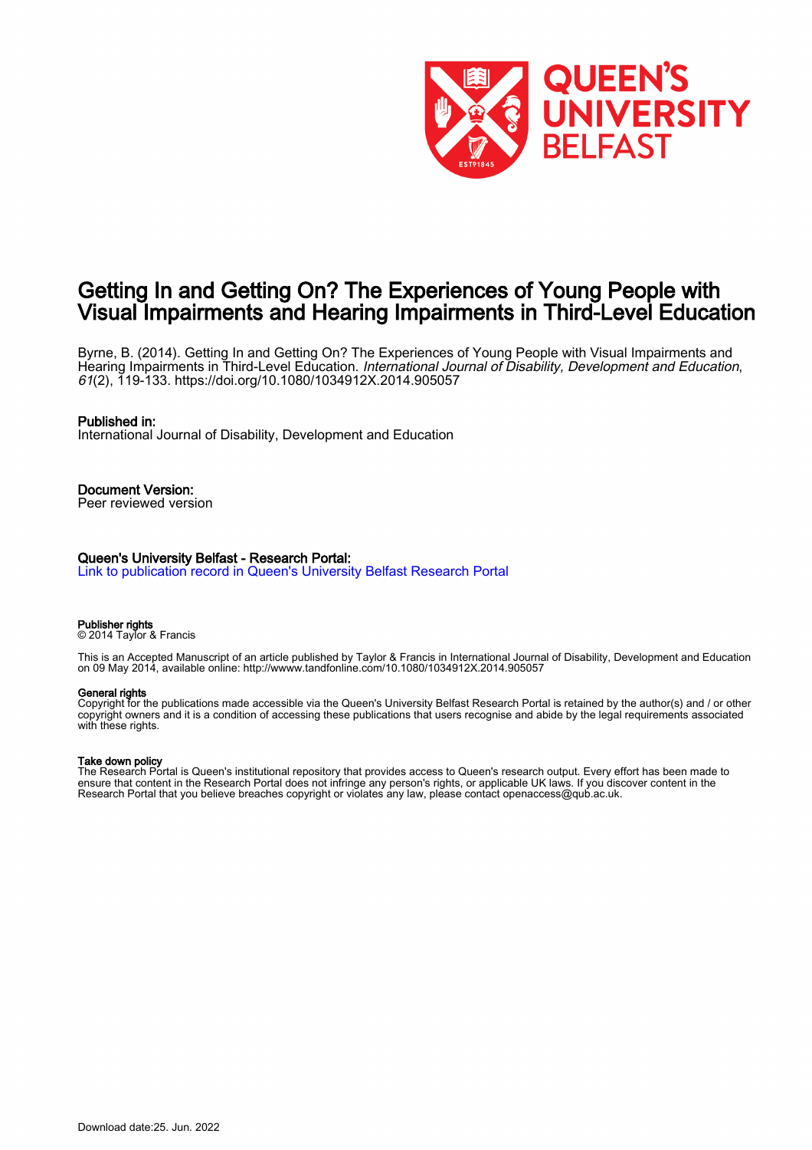

# Getting In and Getting On? The Experiences of Young People with Visual Impairments and Hearing Impairments in Third-Level Education

Byrne, B. (2014). Getting In and Getting On? The Experiences of Young People with Visual Impairments and Hearing Impairments in Third-Level Education. International Journal of Disability, Development and Education, 61(2), 119-133.<https://doi.org/10.1080/1034912X.2014.905057>

#### Published in:

International Journal of Disability, Development and Education

Document Version: Peer reviewed version

#### Queen's University Belfast - Research Portal:

[Link to publication record in Queen's University Belfast Research Portal](https://pure.qub.ac.uk/en/publications/221f5d79-1404-4318-98c7-610f554d33ae)

#### Publisher rights

© 2014 Taylor & Francis

This is an Accepted Manuscript of an article published by Taylor & Francis in International Journal of Disability, Development and Education on 09 May 2014, available online: http://wwww.tandfonline.com/10.1080/1034912X.2014.905057

#### General rights

Copyright for the publications made accessible via the Queen's University Belfast Research Portal is retained by the author(s) and / or other copyright owners and it is a condition of accessing these publications that users recognise and abide by the legal requirements associated with these rights.

#### Take down policy

The Research Portal is Queen's institutional repository that provides access to Queen's research output. Every effort has been made to ensure that content in the Research Portal does not infringe any person's rights, or applicable UK laws. If you discover content in the Research Portal that you believe breaches copyright or violates any law, please contact openaccess@qub.ac.uk.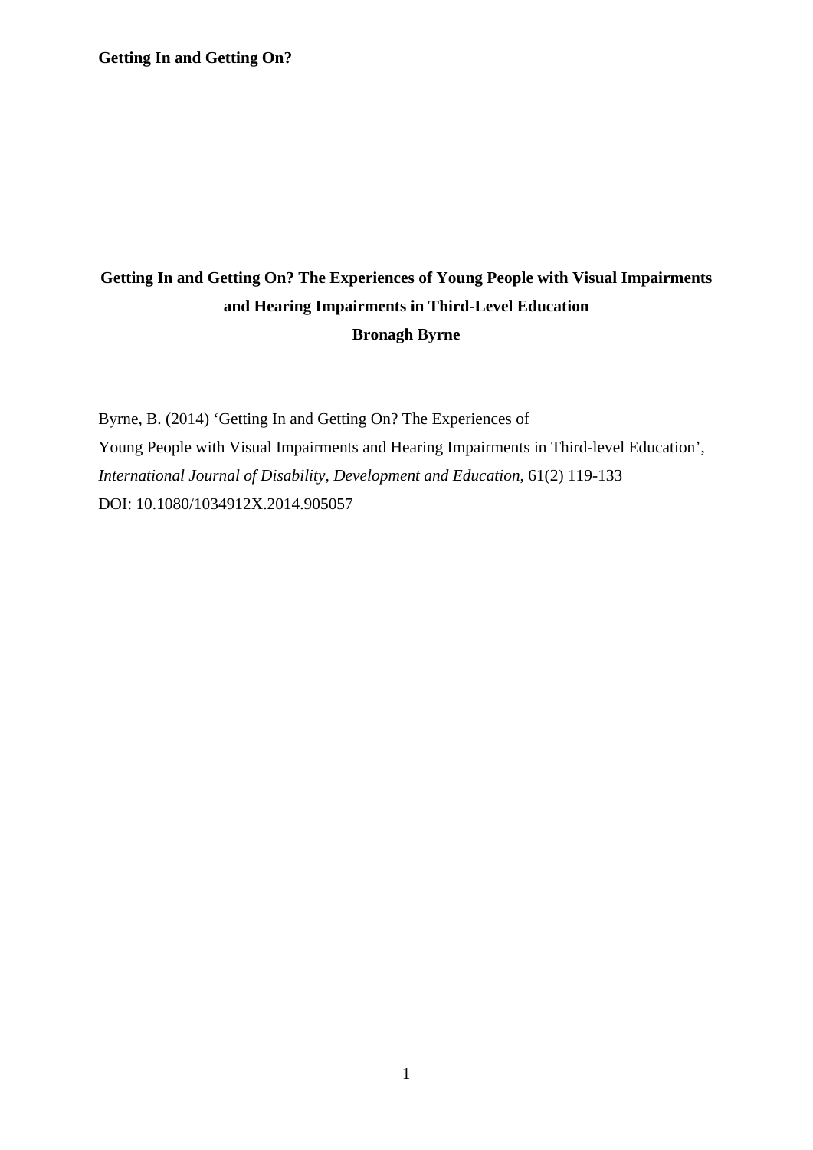# **Getting In and Getting On? The Experiences of Young People with Visual Impairments and Hearing Impairments in Third-Level Education Bronagh Byrne**

Byrne, B. (2014) 'Getting In and Getting On? The Experiences of Young People with Visual Impairments and Hearing Impairments in Third-level Education', *International Journal of Disability, Development and Education*, 61(2) 119-133 DOI: 10.1080/1034912X.2014.905057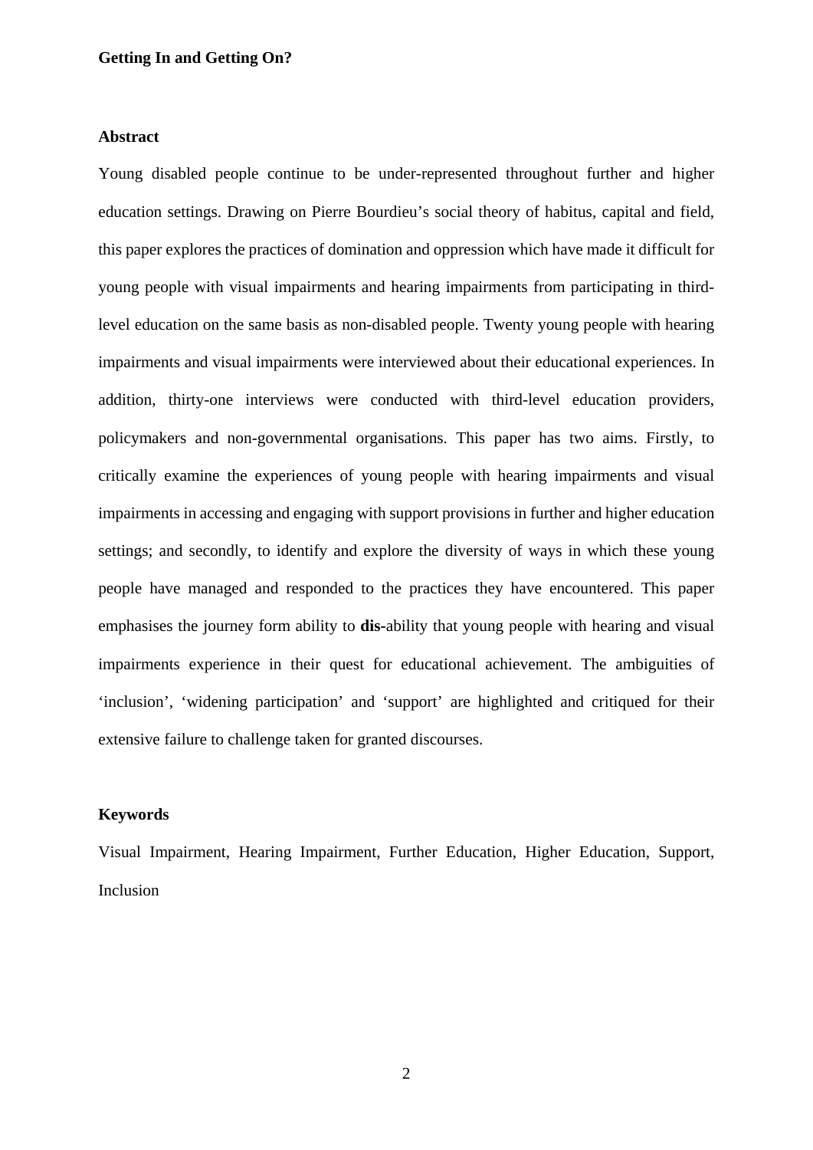#### **Abstract**

Young disabled people continue to be under-represented throughout further and higher education settings. Drawing on Pierre Bourdieu's social theory of habitus, capital and field, this paper explores the practices of domination and oppression which have made it difficult for young people with visual impairments and hearing impairments from participating in thirdlevel education on the same basis as non-disabled people. Twenty young people with hearing impairments and visual impairments were interviewed about their educational experiences. In addition, thirty-one interviews were conducted with third-level education providers, policymakers and non-governmental organisations. This paper has two aims. Firstly, to critically examine the experiences of young people with hearing impairments and visual impairments in accessing and engaging with support provisions in further and higher education settings; and secondly, to identify and explore the diversity of ways in which these young people have managed and responded to the practices they have encountered. This paper emphasises the journey form ability to **dis-**ability that young people with hearing and visual impairments experience in their quest for educational achievement. The ambiguities of 'inclusion', 'widening participation' and 'support' are highlighted and critiqued for their extensive failure to challenge taken for granted discourses.

# **Keywords**

Visual Impairment, Hearing Impairment, Further Education, Higher Education, Support, Inclusion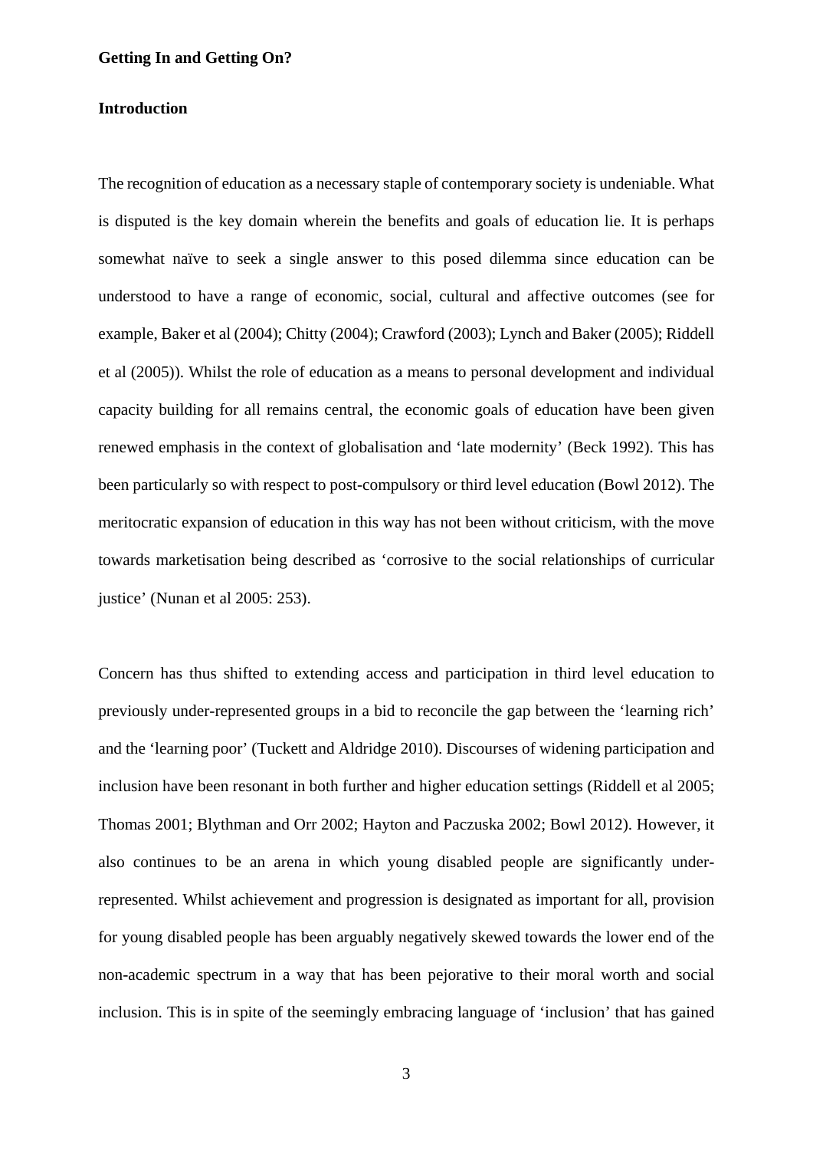# **Introduction**

The recognition of education as a necessary staple of contemporary society is undeniable. What is disputed is the key domain wherein the benefits and goals of education lie. It is perhaps somewhat naïve to seek a single answer to this posed dilemma since education can be understood to have a range of economic, social, cultural and affective outcomes (see for example, Baker et al (2004); Chitty (2004); Crawford (2003); Lynch and Baker (2005); Riddell et al (2005)). Whilst the role of education as a means to personal development and individual capacity building for all remains central, the economic goals of education have been given renewed emphasis in the context of globalisation and 'late modernity' (Beck 1992). This has been particularly so with respect to post-compulsory or third level education (Bowl 2012). The meritocratic expansion of education in this way has not been without criticism, with the move towards marketisation being described as 'corrosive to the social relationships of curricular justice' (Nunan et al 2005: 253).

Concern has thus shifted to extending access and participation in third level education to previously under-represented groups in a bid to reconcile the gap between the 'learning rich' and the 'learning poor' (Tuckett and Aldridge 2010). Discourses of widening participation and inclusion have been resonant in both further and higher education settings (Riddell et al 2005; Thomas 2001; Blythman and Orr 2002; Hayton and Paczuska 2002; Bowl 2012). However, it also continues to be an arena in which young disabled people are significantly underrepresented. Whilst achievement and progression is designated as important for all, provision for young disabled people has been arguably negatively skewed towards the lower end of the non-academic spectrum in a way that has been pejorative to their moral worth and social inclusion. This is in spite of the seemingly embracing language of 'inclusion' that has gained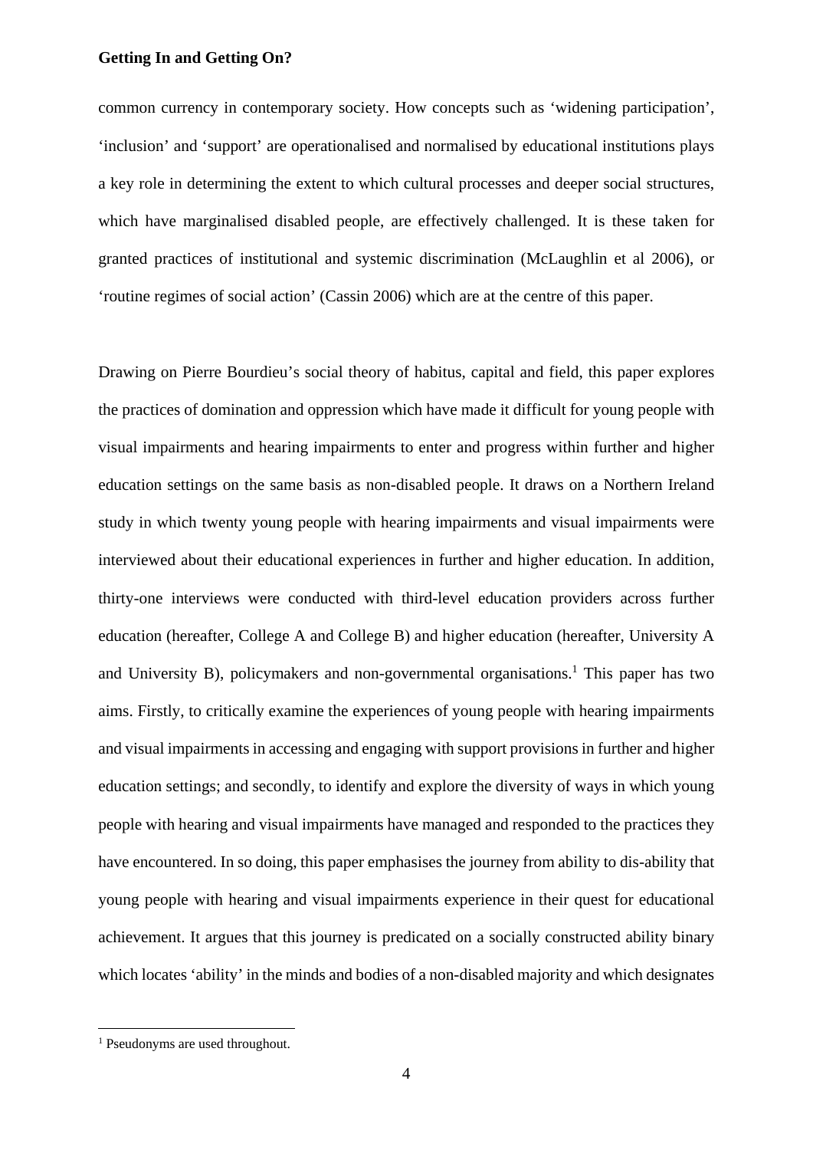common currency in contemporary society. How concepts such as 'widening participation', 'inclusion' and 'support' are operationalised and normalised by educational institutions plays a key role in determining the extent to which cultural processes and deeper social structures, which have marginalised disabled people, are effectively challenged. It is these taken for granted practices of institutional and systemic discrimination (McLaughlin et al 2006), or 'routine regimes of social action' (Cassin 2006) which are at the centre of this paper.

Drawing on Pierre Bourdieu's social theory of habitus, capital and field, this paper explores the practices of domination and oppression which have made it difficult for young people with visual impairments and hearing impairments to enter and progress within further and higher education settings on the same basis as non-disabled people. It draws on a Northern Ireland study in which twenty young people with hearing impairments and visual impairments were interviewed about their educational experiences in further and higher education. In addition, thirty-one interviews were conducted with third-level education providers across further education (hereafter, College A and College B) and higher education (hereafter, University A and University B), policymakers and non-governmental organisations.<sup>1</sup> This paper has two aims. Firstly, to critically examine the experiences of young people with hearing impairments and visual impairments in accessing and engaging with support provisions in further and higher education settings; and secondly, to identify and explore the diversity of ways in which young people with hearing and visual impairments have managed and responded to the practices they have encountered. In so doing, this paper emphasises the journey from ability to dis-ability that young people with hearing and visual impairments experience in their quest for educational achievement. It argues that this journey is predicated on a socially constructed ability binary which locates 'ability' in the minds and bodies of a non-disabled majority and which designates

1

<sup>1</sup> Pseudonyms are used throughout.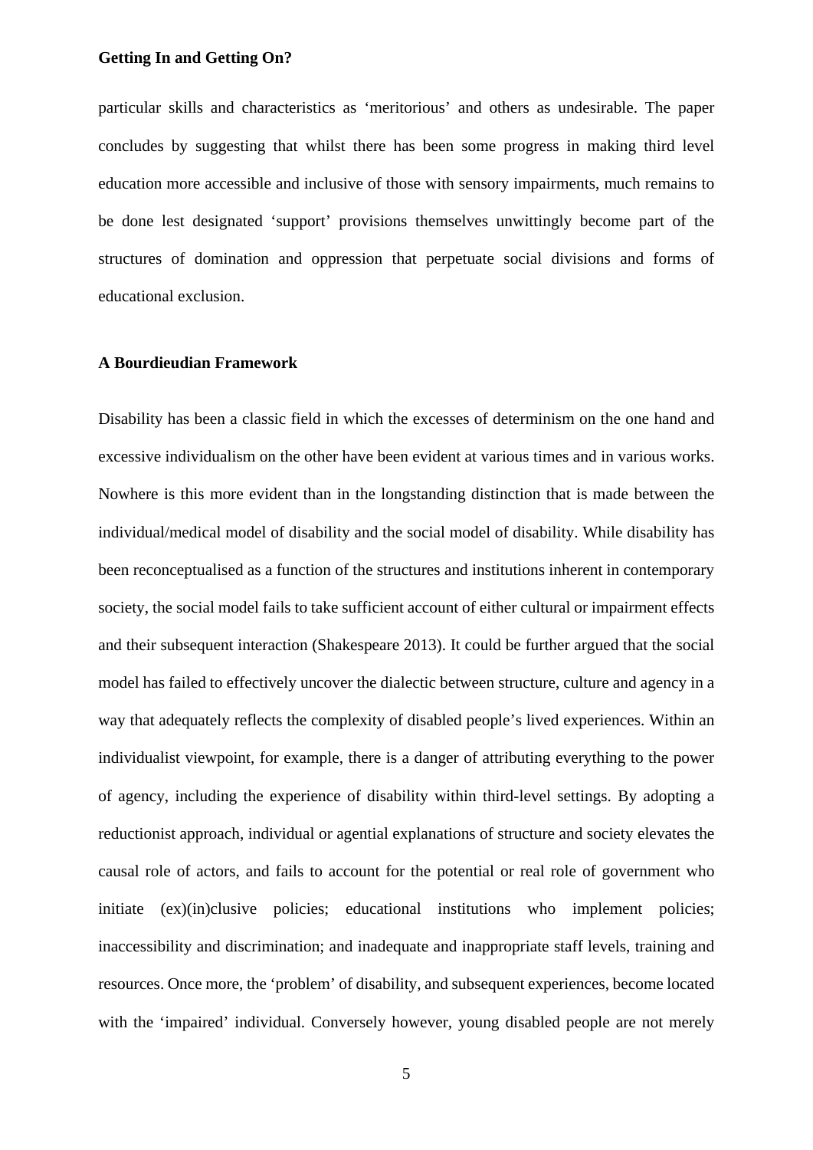particular skills and characteristics as 'meritorious' and others as undesirable. The paper concludes by suggesting that whilst there has been some progress in making third level education more accessible and inclusive of those with sensory impairments, much remains to be done lest designated 'support' provisions themselves unwittingly become part of the structures of domination and oppression that perpetuate social divisions and forms of educational exclusion.

# **A Bourdieudian Framework**

Disability has been a classic field in which the excesses of determinism on the one hand and excessive individualism on the other have been evident at various times and in various works. Nowhere is this more evident than in the longstanding distinction that is made between the individual/medical model of disability and the social model of disability. While disability has been reconceptualised as a function of the structures and institutions inherent in contemporary society, the social model fails to take sufficient account of either cultural or impairment effects and their subsequent interaction (Shakespeare 2013). It could be further argued that the social model has failed to effectively uncover the dialectic between structure, culture and agency in a way that adequately reflects the complexity of disabled people's lived experiences. Within an individualist viewpoint, for example, there is a danger of attributing everything to the power of agency, including the experience of disability within third-level settings. By adopting a reductionist approach, individual or agential explanations of structure and society elevates the causal role of actors, and fails to account for the potential or real role of government who initiate (ex)(in)clusive policies; educational institutions who implement policies; inaccessibility and discrimination; and inadequate and inappropriate staff levels, training and resources. Once more, the 'problem' of disability, and subsequent experiences, become located with the 'impaired' individual. Conversely however, young disabled people are not merely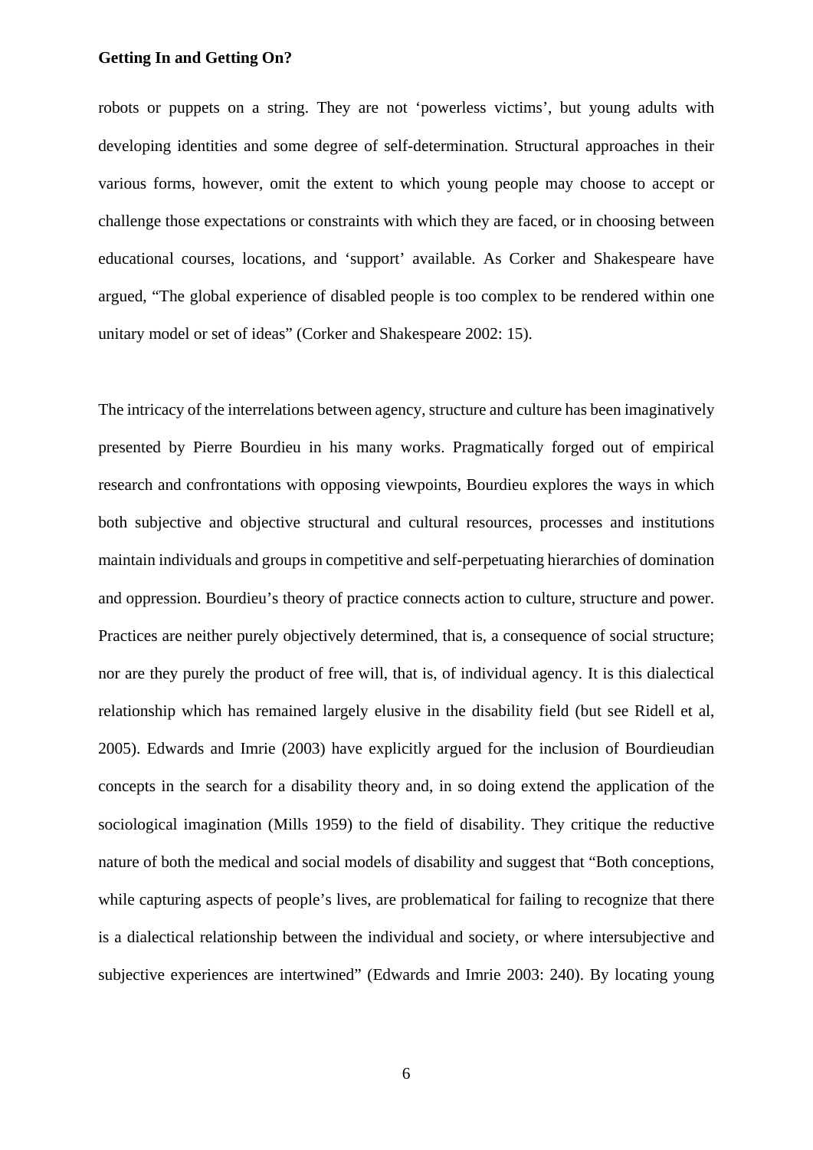robots or puppets on a string. They are not 'powerless victims', but young adults with developing identities and some degree of self-determination. Structural approaches in their various forms, however, omit the extent to which young people may choose to accept or challenge those expectations or constraints with which they are faced, or in choosing between educational courses, locations, and 'support' available. As Corker and Shakespeare have argued, "The global experience of disabled people is too complex to be rendered within one unitary model or set of ideas" (Corker and Shakespeare 2002: 15).

The intricacy of the interrelations between agency, structure and culture has been imaginatively presented by Pierre Bourdieu in his many works. Pragmatically forged out of empirical research and confrontations with opposing viewpoints, Bourdieu explores the ways in which both subjective and objective structural and cultural resources, processes and institutions maintain individuals and groups in competitive and self-perpetuating hierarchies of domination and oppression. Bourdieu's theory of practice connects action to culture, structure and power. Practices are neither purely objectively determined, that is, a consequence of social structure; nor are they purely the product of free will, that is, of individual agency. It is this dialectical relationship which has remained largely elusive in the disability field (but see Ridell et al, 2005). Edwards and Imrie (2003) have explicitly argued for the inclusion of Bourdieudian concepts in the search for a disability theory and, in so doing extend the application of the sociological imagination (Mills 1959) to the field of disability. They critique the reductive nature of both the medical and social models of disability and suggest that "Both conceptions, while capturing aspects of people's lives, are problematical for failing to recognize that there is a dialectical relationship between the individual and society, or where intersubjective and subjective experiences are intertwined" (Edwards and Imrie 2003: 240). By locating young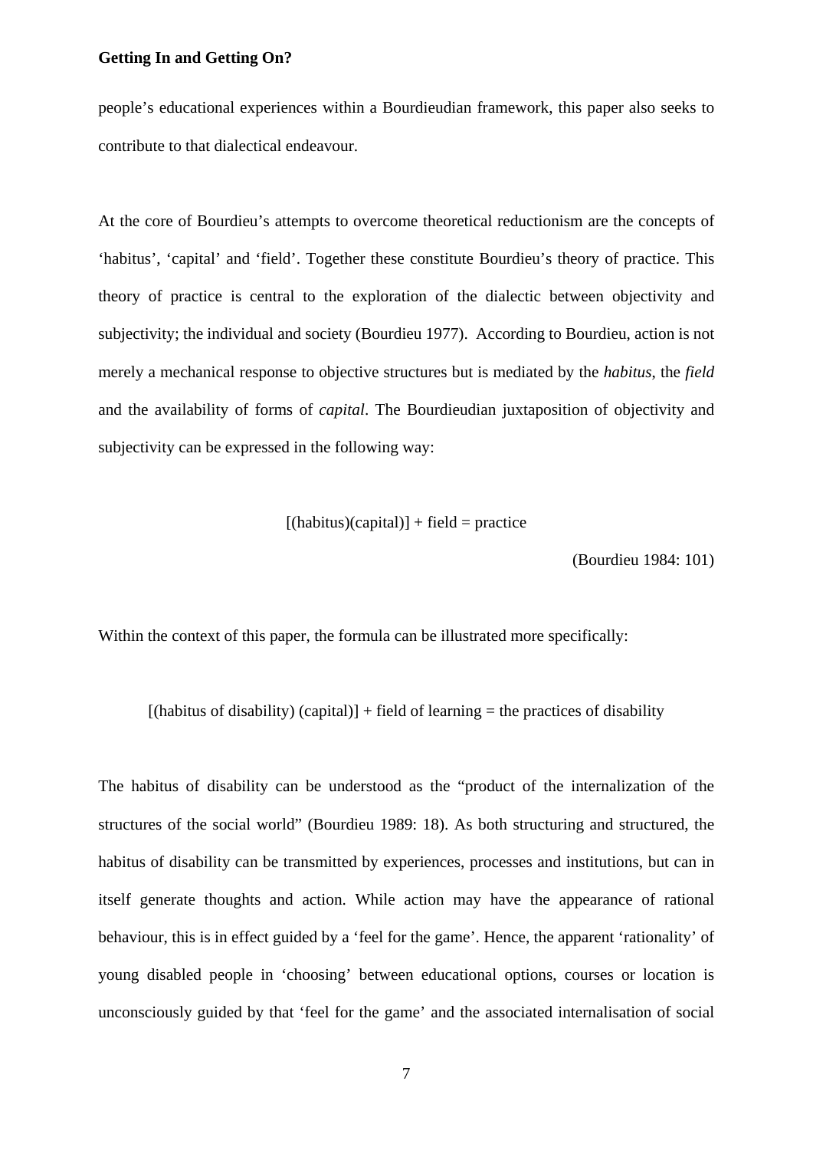people's educational experiences within a Bourdieudian framework, this paper also seeks to contribute to that dialectical endeavour.

At the core of Bourdieu's attempts to overcome theoretical reductionism are the concepts of 'habitus', 'capital' and 'field'. Together these constitute Bourdieu's theory of practice. This theory of practice is central to the exploration of the dialectic between objectivity and subjectivity; the individual and society (Bourdieu 1977). According to Bourdieu, action is not merely a mechanical response to objective structures but is mediated by the *habitus*, the *field* and the availability of forms of *capital*. The Bourdieudian juxtaposition of objectivity and subjectivity can be expressed in the following way:

 $[(habitus)(capital)] + field = practice$ 

(Bourdieu 1984: 101)

Within the context of this paper, the formula can be illustrated more specifically:

 $[(habitus of disability) (capital)] + field of learning = the practices of disability)$ 

The habitus of disability can be understood as the "product of the internalization of the structures of the social world" (Bourdieu 1989: 18). As both structuring and structured, the habitus of disability can be transmitted by experiences, processes and institutions, but can in itself generate thoughts and action. While action may have the appearance of rational behaviour, this is in effect guided by a 'feel for the game'. Hence, the apparent 'rationality' of young disabled people in 'choosing' between educational options, courses or location is unconsciously guided by that 'feel for the game' and the associated internalisation of social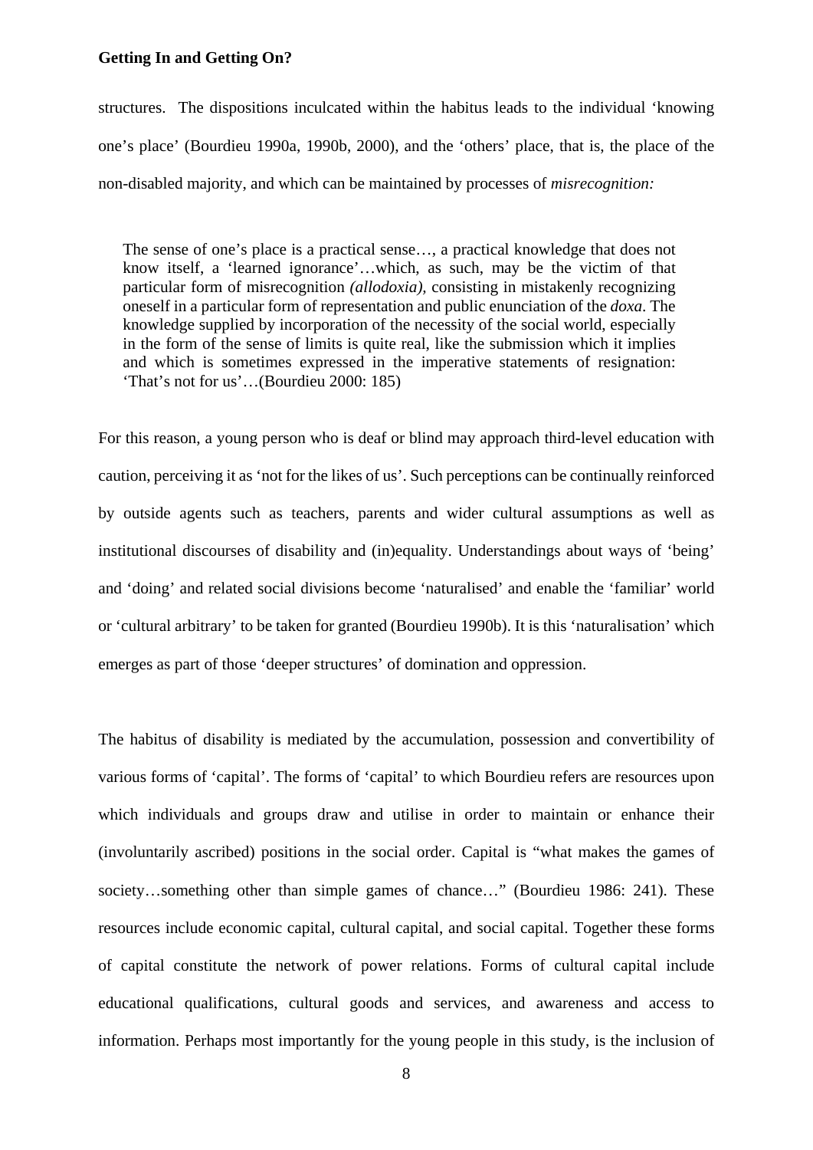structures. The dispositions inculcated within the habitus leads to the individual 'knowing one's place' (Bourdieu 1990a, 1990b, 2000), and the 'others' place, that is, the place of the non-disabled majority, and which can be maintained by processes of *misrecognition:* 

The sense of one's place is a practical sense…, a practical knowledge that does not know itself, a 'learned ignorance'…which, as such, may be the victim of that particular form of misrecognition *(allodoxia),* consisting in mistakenly recognizing oneself in a particular form of representation and public enunciation of the *doxa*. The knowledge supplied by incorporation of the necessity of the social world, especially in the form of the sense of limits is quite real, like the submission which it implies and which is sometimes expressed in the imperative statements of resignation: 'That's not for us'…(Bourdieu 2000: 185)

For this reason, a young person who is deaf or blind may approach third-level education with caution, perceiving it as 'not for the likes of us'. Such perceptions can be continually reinforced by outside agents such as teachers, parents and wider cultural assumptions as well as institutional discourses of disability and (in)equality. Understandings about ways of 'being' and 'doing' and related social divisions become 'naturalised' and enable the 'familiar' world or 'cultural arbitrary' to be taken for granted (Bourdieu 1990b). It is this 'naturalisation' which emerges as part of those 'deeper structures' of domination and oppression.

The habitus of disability is mediated by the accumulation, possession and convertibility of various forms of 'capital'. The forms of 'capital' to which Bourdieu refers are resources upon which individuals and groups draw and utilise in order to maintain or enhance their (involuntarily ascribed) positions in the social order. Capital is "what makes the games of society…something other than simple games of chance…" (Bourdieu 1986: 241). These resources include economic capital, cultural capital, and social capital. Together these forms of capital constitute the network of power relations. Forms of cultural capital include educational qualifications, cultural goods and services, and awareness and access to information. Perhaps most importantly for the young people in this study, is the inclusion of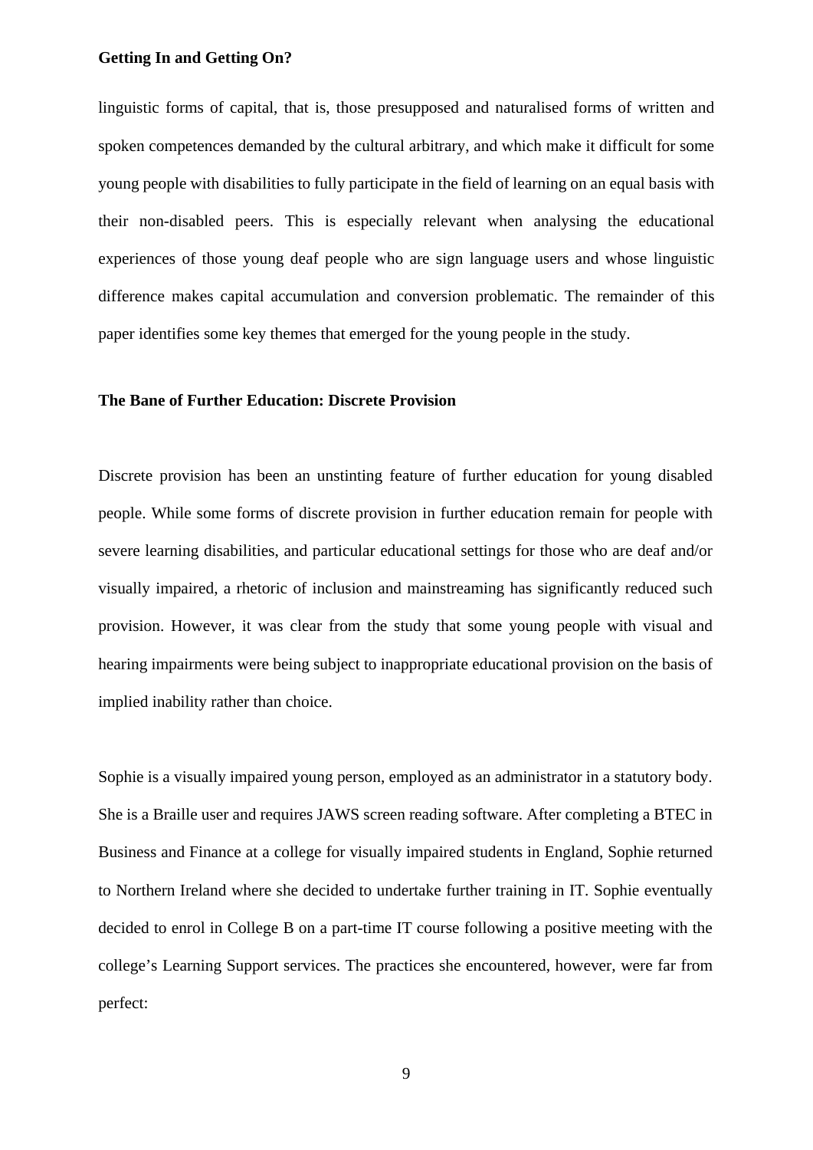linguistic forms of capital, that is, those presupposed and naturalised forms of written and spoken competences demanded by the cultural arbitrary, and which make it difficult for some young people with disabilities to fully participate in the field of learning on an equal basis with their non-disabled peers. This is especially relevant when analysing the educational experiences of those young deaf people who are sign language users and whose linguistic difference makes capital accumulation and conversion problematic. The remainder of this paper identifies some key themes that emerged for the young people in the study.

# **The Bane of Further Education: Discrete Provision**

Discrete provision has been an unstinting feature of further education for young disabled people. While some forms of discrete provision in further education remain for people with severe learning disabilities, and particular educational settings for those who are deaf and/or visually impaired, a rhetoric of inclusion and mainstreaming has significantly reduced such provision. However, it was clear from the study that some young people with visual and hearing impairments were being subject to inappropriate educational provision on the basis of implied inability rather than choice.

Sophie is a visually impaired young person, employed as an administrator in a statutory body. She is a Braille user and requires JAWS screen reading software. After completing a BTEC in Business and Finance at a college for visually impaired students in England, Sophie returned to Northern Ireland where she decided to undertake further training in IT. Sophie eventually decided to enrol in College B on a part-time IT course following a positive meeting with the college's Learning Support services. The practices she encountered, however, were far from perfect: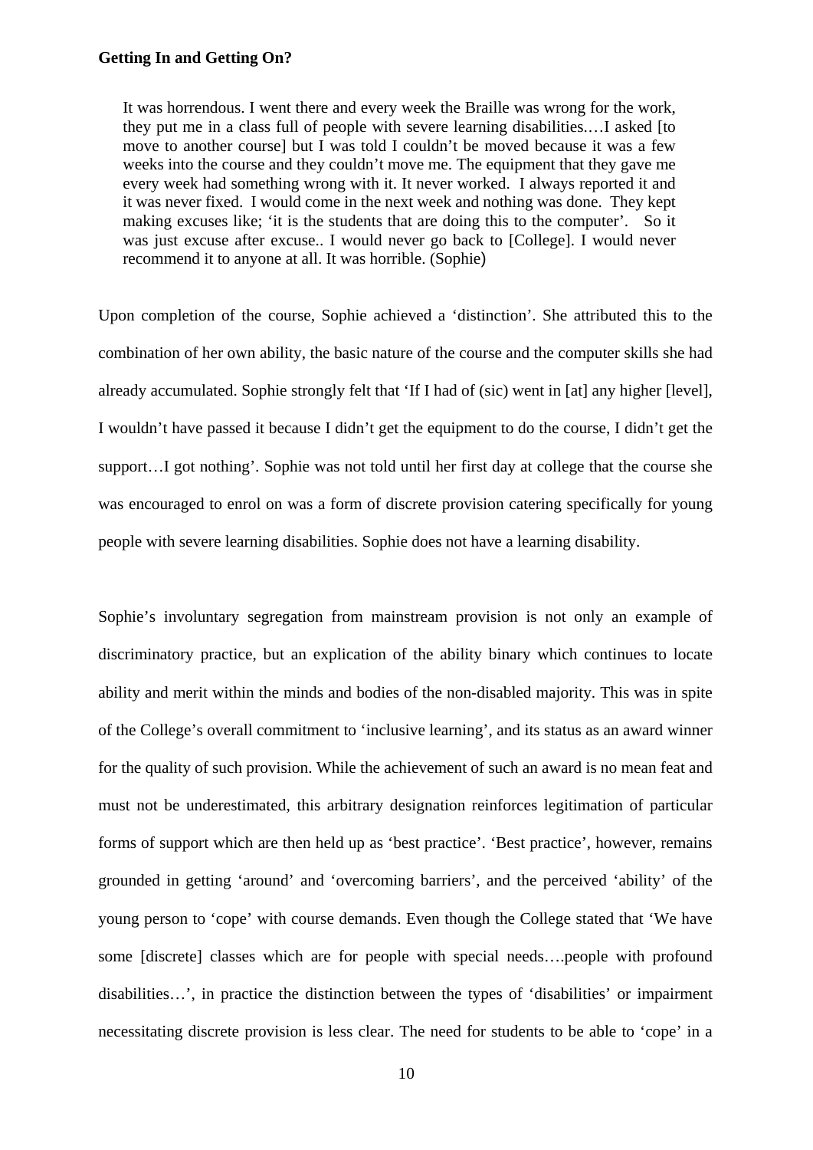It was horrendous. I went there and every week the Braille was wrong for the work, they put me in a class full of people with severe learning disabilities.…I asked [to move to another course] but I was told I couldn't be moved because it was a few weeks into the course and they couldn't move me. The equipment that they gave me every week had something wrong with it. It never worked. I always reported it and it was never fixed. I would come in the next week and nothing was done. They kept making excuses like; 'it is the students that are doing this to the computer'. So it was just excuse after excuse.. I would never go back to [College]. I would never recommend it to anyone at all. It was horrible. (Sophie)

Upon completion of the course, Sophie achieved a 'distinction'. She attributed this to the combination of her own ability, the basic nature of the course and the computer skills she had already accumulated. Sophie strongly felt that 'If I had of (sic) went in [at] any higher [level], I wouldn't have passed it because I didn't get the equipment to do the course, I didn't get the support…I got nothing'. Sophie was not told until her first day at college that the course she was encouraged to enrol on was a form of discrete provision catering specifically for young people with severe learning disabilities. Sophie does not have a learning disability.

Sophie's involuntary segregation from mainstream provision is not only an example of discriminatory practice, but an explication of the ability binary which continues to locate ability and merit within the minds and bodies of the non-disabled majority. This was in spite of the College's overall commitment to 'inclusive learning', and its status as an award winner for the quality of such provision. While the achievement of such an award is no mean feat and must not be underestimated, this arbitrary designation reinforces legitimation of particular forms of support which are then held up as 'best practice'. 'Best practice', however, remains grounded in getting 'around' and 'overcoming barriers', and the perceived 'ability' of the young person to 'cope' with course demands. Even though the College stated that 'We have some [discrete] classes which are for people with special needs….people with profound disabilities…', in practice the distinction between the types of 'disabilities' or impairment necessitating discrete provision is less clear. The need for students to be able to 'cope' in a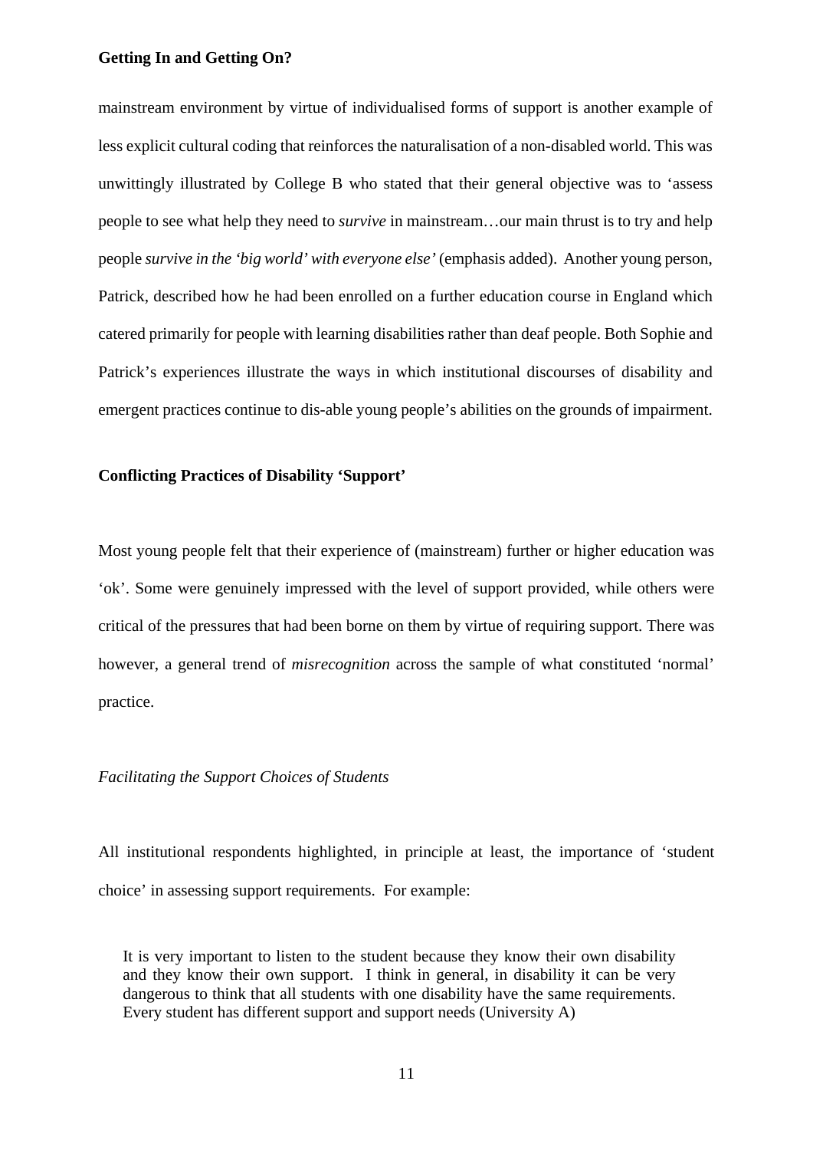mainstream environment by virtue of individualised forms of support is another example of less explicit cultural coding that reinforces the naturalisation of a non-disabled world. This was unwittingly illustrated by College B who stated that their general objective was to 'assess people to see what help they need to *survive* in mainstream…our main thrust is to try and help people *survive in the 'big world' with everyone else'* (emphasis added). Another young person, Patrick, described how he had been enrolled on a further education course in England which catered primarily for people with learning disabilities rather than deaf people. Both Sophie and Patrick's experiences illustrate the ways in which institutional discourses of disability and emergent practices continue to dis-able young people's abilities on the grounds of impairment.

# **Conflicting Practices of Disability 'Support'**

Most young people felt that their experience of (mainstream) further or higher education was 'ok'. Some were genuinely impressed with the level of support provided, while others were critical of the pressures that had been borne on them by virtue of requiring support. There was however, a general trend of *misrecognition* across the sample of what constituted 'normal' practice.

### *Facilitating the Support Choices of Students*

All institutional respondents highlighted, in principle at least, the importance of 'student choice' in assessing support requirements. For example:

It is very important to listen to the student because they know their own disability and they know their own support. I think in general, in disability it can be very dangerous to think that all students with one disability have the same requirements. Every student has different support and support needs (University A)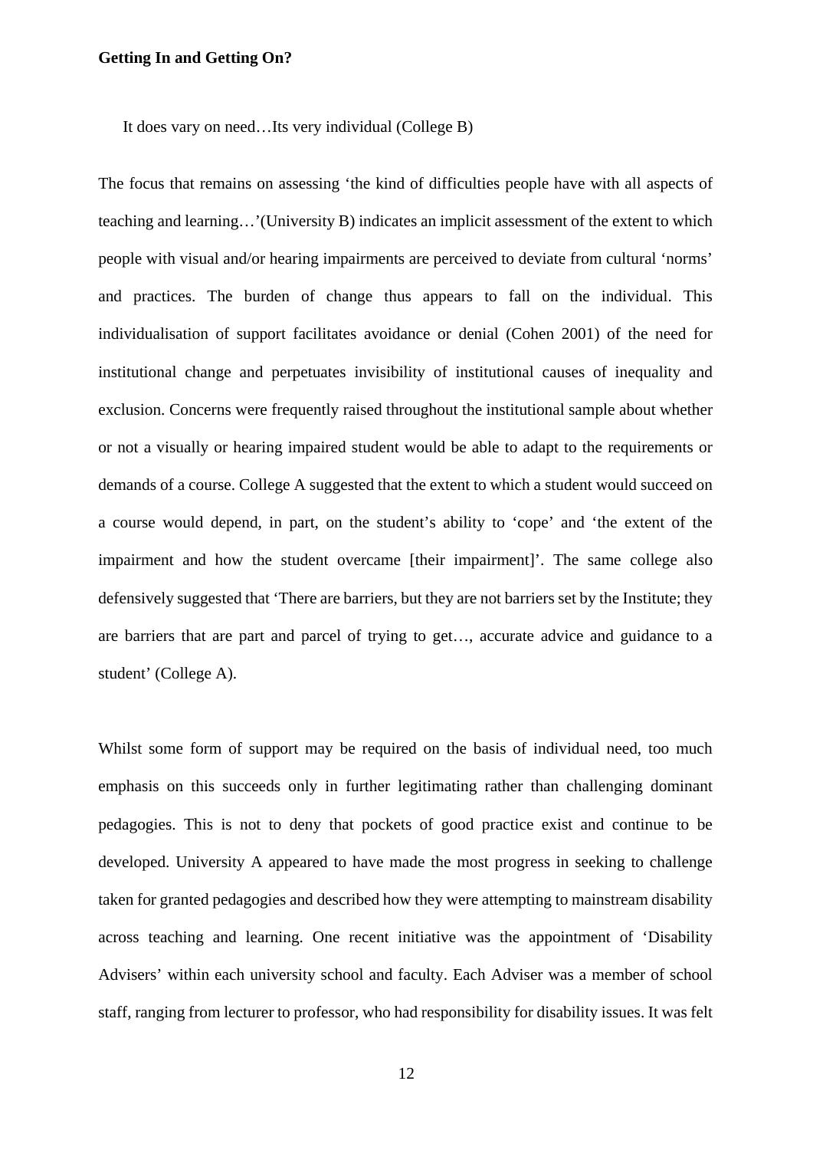It does vary on need…Its very individual (College B)

The focus that remains on assessing 'the kind of difficulties people have with all aspects of teaching and learning…'(University B) indicates an implicit assessment of the extent to which people with visual and/or hearing impairments are perceived to deviate from cultural 'norms' and practices. The burden of change thus appears to fall on the individual. This individualisation of support facilitates avoidance or denial (Cohen 2001) of the need for institutional change and perpetuates invisibility of institutional causes of inequality and exclusion. Concerns were frequently raised throughout the institutional sample about whether or not a visually or hearing impaired student would be able to adapt to the requirements or demands of a course. College A suggested that the extent to which a student would succeed on a course would depend, in part, on the student's ability to 'cope' and 'the extent of the impairment and how the student overcame [their impairment]'. The same college also defensively suggested that 'There are barriers, but they are not barriers set by the Institute; they are barriers that are part and parcel of trying to get…, accurate advice and guidance to a student' (College A).

Whilst some form of support may be required on the basis of individual need, too much emphasis on this succeeds only in further legitimating rather than challenging dominant pedagogies. This is not to deny that pockets of good practice exist and continue to be developed. University A appeared to have made the most progress in seeking to challenge taken for granted pedagogies and described how they were attempting to mainstream disability across teaching and learning. One recent initiative was the appointment of 'Disability Advisers' within each university school and faculty. Each Adviser was a member of school staff, ranging from lecturer to professor, who had responsibility for disability issues. It was felt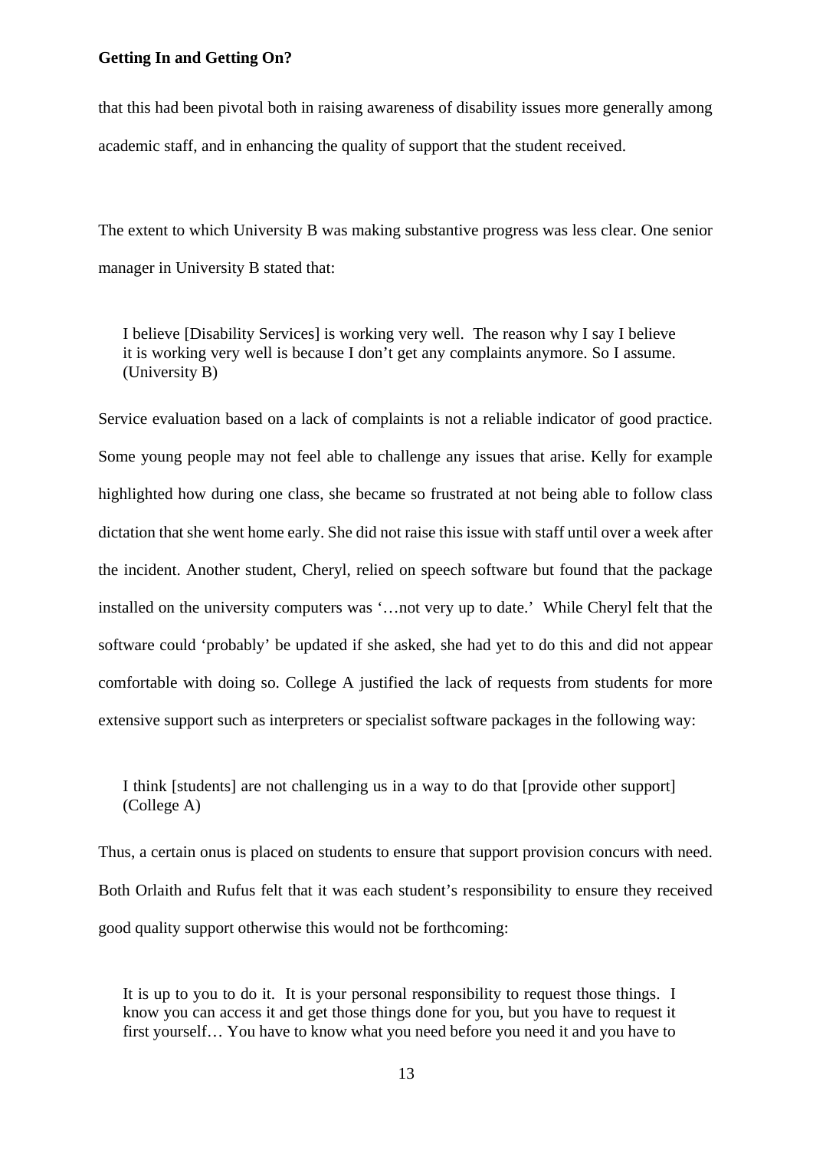that this had been pivotal both in raising awareness of disability issues more generally among academic staff, and in enhancing the quality of support that the student received.

The extent to which University B was making substantive progress was less clear. One senior manager in University B stated that:

I believe [Disability Services] is working very well. The reason why I say I believe it is working very well is because I don't get any complaints anymore. So I assume. (University B)

Service evaluation based on a lack of complaints is not a reliable indicator of good practice. Some young people may not feel able to challenge any issues that arise. Kelly for example highlighted how during one class, she became so frustrated at not being able to follow class dictation that she went home early. She did not raise this issue with staff until over a week after the incident. Another student, Cheryl, relied on speech software but found that the package installed on the university computers was '…not very up to date.' While Cheryl felt that the software could 'probably' be updated if she asked, she had yet to do this and did not appear comfortable with doing so. College A justified the lack of requests from students for more extensive support such as interpreters or specialist software packages in the following way:

I think [students] are not challenging us in a way to do that [provide other support] (College A)

Thus, a certain onus is placed on students to ensure that support provision concurs with need. Both Orlaith and Rufus felt that it was each student's responsibility to ensure they received good quality support otherwise this would not be forthcoming:

It is up to you to do it. It is your personal responsibility to request those things. I know you can access it and get those things done for you, but you have to request it first yourself… You have to know what you need before you need it and you have to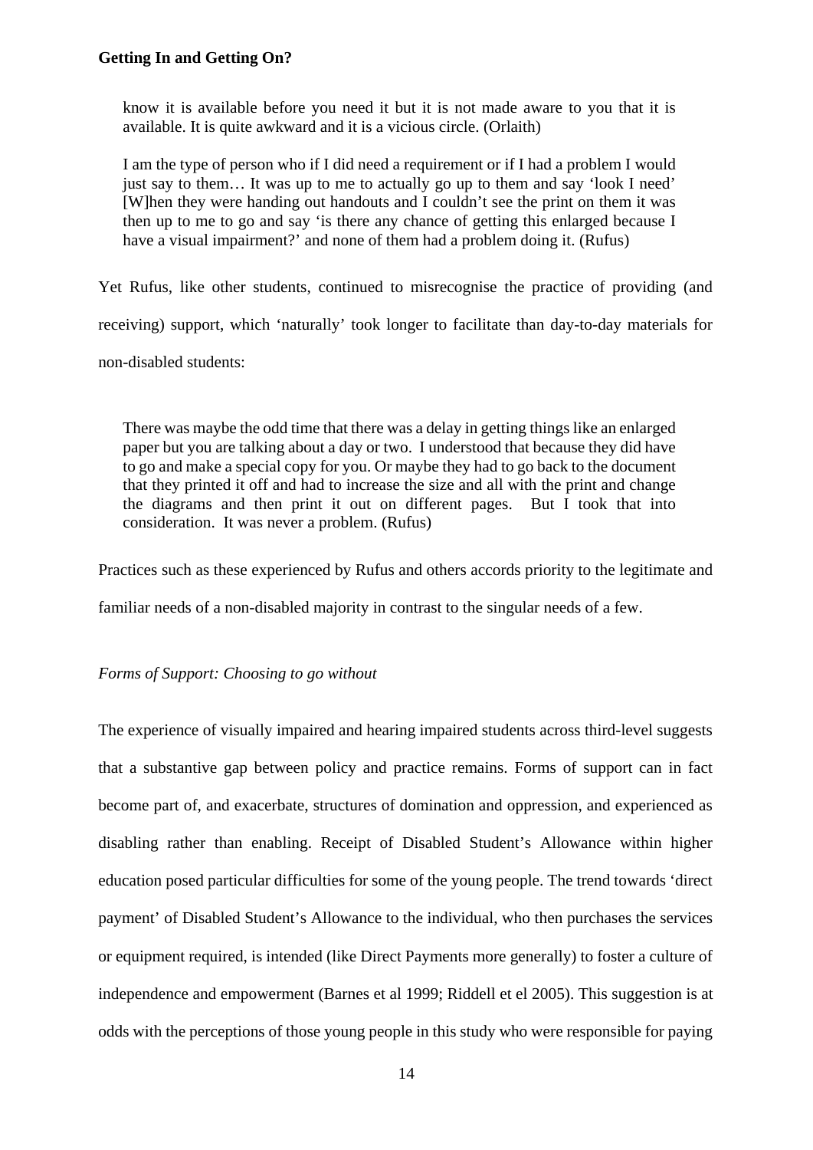know it is available before you need it but it is not made aware to you that it is available. It is quite awkward and it is a vicious circle. (Orlaith)

I am the type of person who if I did need a requirement or if I had a problem I would just say to them… It was up to me to actually go up to them and say 'look I need' [W]hen they were handing out handouts and I couldn't see the print on them it was then up to me to go and say 'is there any chance of getting this enlarged because I have a visual impairment?' and none of them had a problem doing it. (Rufus)

Yet Rufus, like other students, continued to misrecognise the practice of providing (and receiving) support, which 'naturally' took longer to facilitate than day-to-day materials for non-disabled students:

There was maybe the odd time that there was a delay in getting things like an enlarged paper but you are talking about a day or two. I understood that because they did have to go and make a special copy for you. Or maybe they had to go back to the document that they printed it off and had to increase the size and all with the print and change the diagrams and then print it out on different pages. But I took that into consideration. It was never a problem. (Rufus)

Practices such as these experienced by Rufus and others accords priority to the legitimate and

familiar needs of a non-disabled majority in contrast to the singular needs of a few.

# *Forms of Support: Choosing to go without*

The experience of visually impaired and hearing impaired students across third-level suggests that a substantive gap between policy and practice remains. Forms of support can in fact become part of, and exacerbate, structures of domination and oppression, and experienced as disabling rather than enabling. Receipt of Disabled Student's Allowance within higher education posed particular difficulties for some of the young people. The trend towards 'direct payment' of Disabled Student's Allowance to the individual, who then purchases the services or equipment required, is intended (like Direct Payments more generally) to foster a culture of independence and empowerment (Barnes et al 1999; Riddell et el 2005). This suggestion is at odds with the perceptions of those young people in this study who were responsible for paying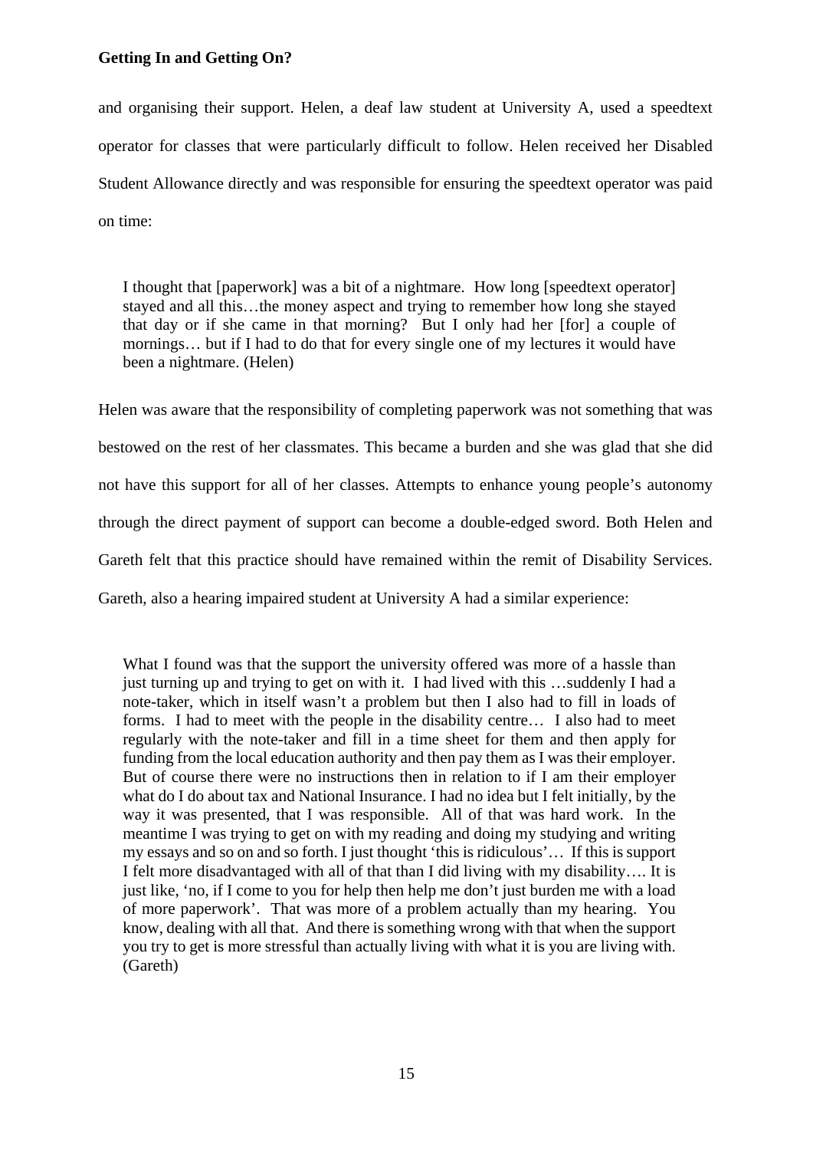and organising their support. Helen, a deaf law student at University A, used a speedtext operator for classes that were particularly difficult to follow. Helen received her Disabled Student Allowance directly and was responsible for ensuring the speedtext operator was paid on time:

I thought that [paperwork] was a bit of a nightmare. How long [speedtext operator] stayed and all this…the money aspect and trying to remember how long she stayed that day or if she came in that morning? But I only had her [for] a couple of mornings… but if I had to do that for every single one of my lectures it would have been a nightmare. (Helen)

Helen was aware that the responsibility of completing paperwork was not something that was bestowed on the rest of her classmates. This became a burden and she was glad that she did not have this support for all of her classes. Attempts to enhance young people's autonomy through the direct payment of support can become a double-edged sword. Both Helen and Gareth felt that this practice should have remained within the remit of Disability Services. Gareth, also a hearing impaired student at University A had a similar experience:

What I found was that the support the university offered was more of a hassle than just turning up and trying to get on with it. I had lived with this …suddenly I had a note-taker, which in itself wasn't a problem but then I also had to fill in loads of forms. I had to meet with the people in the disability centre… I also had to meet regularly with the note-taker and fill in a time sheet for them and then apply for funding from the local education authority and then pay them as I was their employer. But of course there were no instructions then in relation to if I am their employer what do I do about tax and National Insurance. I had no idea but I felt initially, by the way it was presented, that I was responsible. All of that was hard work. In the meantime I was trying to get on with my reading and doing my studying and writing my essays and so on and so forth. I just thought 'this is ridiculous'… If this is support I felt more disadvantaged with all of that than I did living with my disability…. It is just like, 'no, if I come to you for help then help me don't just burden me with a load of more paperwork'. That was more of a problem actually than my hearing. You know, dealing with all that. And there is something wrong with that when the support you try to get is more stressful than actually living with what it is you are living with. (Gareth)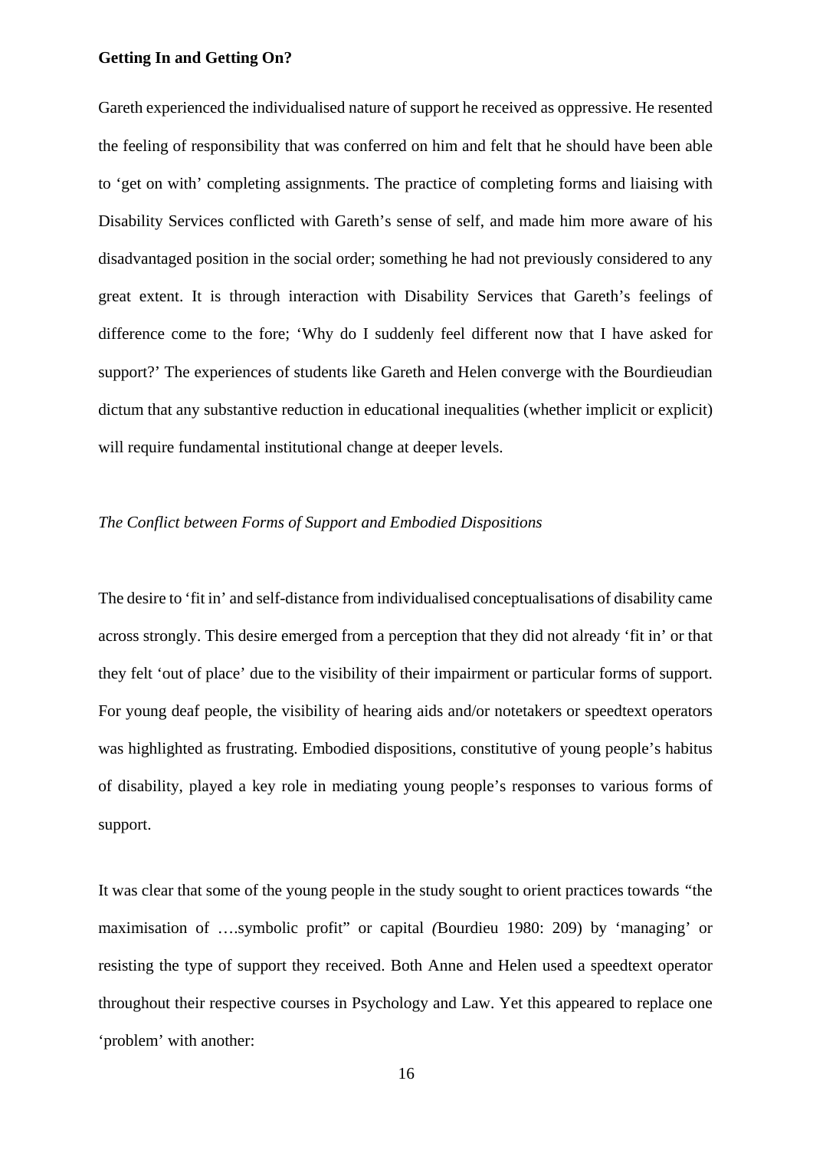Gareth experienced the individualised nature of support he received as oppressive. He resented the feeling of responsibility that was conferred on him and felt that he should have been able to 'get on with' completing assignments. The practice of completing forms and liaising with Disability Services conflicted with Gareth's sense of self, and made him more aware of his disadvantaged position in the social order; something he had not previously considered to any great extent. It is through interaction with Disability Services that Gareth's feelings of difference come to the fore; 'Why do I suddenly feel different now that I have asked for support?' The experiences of students like Gareth and Helen converge with the Bourdieudian dictum that any substantive reduction in educational inequalities (whether implicit or explicit) will require fundamental institutional change at deeper levels.

# *The Conflict between Forms of Support and Embodied Dispositions*

The desire to 'fit in' and self-distance from individualised conceptualisations of disability came across strongly. This desire emerged from a perception that they did not already 'fit in' or that they felt 'out of place' due to the visibility of their impairment or particular forms of support. For young deaf people, the visibility of hearing aids and/or notetakers or speedtext operators was highlighted as frustrating. Embodied dispositions, constitutive of young people's habitus of disability, played a key role in mediating young people's responses to various forms of support.

It was clear that some of the young people in the study sought to orient practices towards *"*the maximisation of ….symbolic profit" or capital *(*Bourdieu 1980: 209) by 'managing' or resisting the type of support they received. Both Anne and Helen used a speedtext operator throughout their respective courses in Psychology and Law. Yet this appeared to replace one 'problem' with another: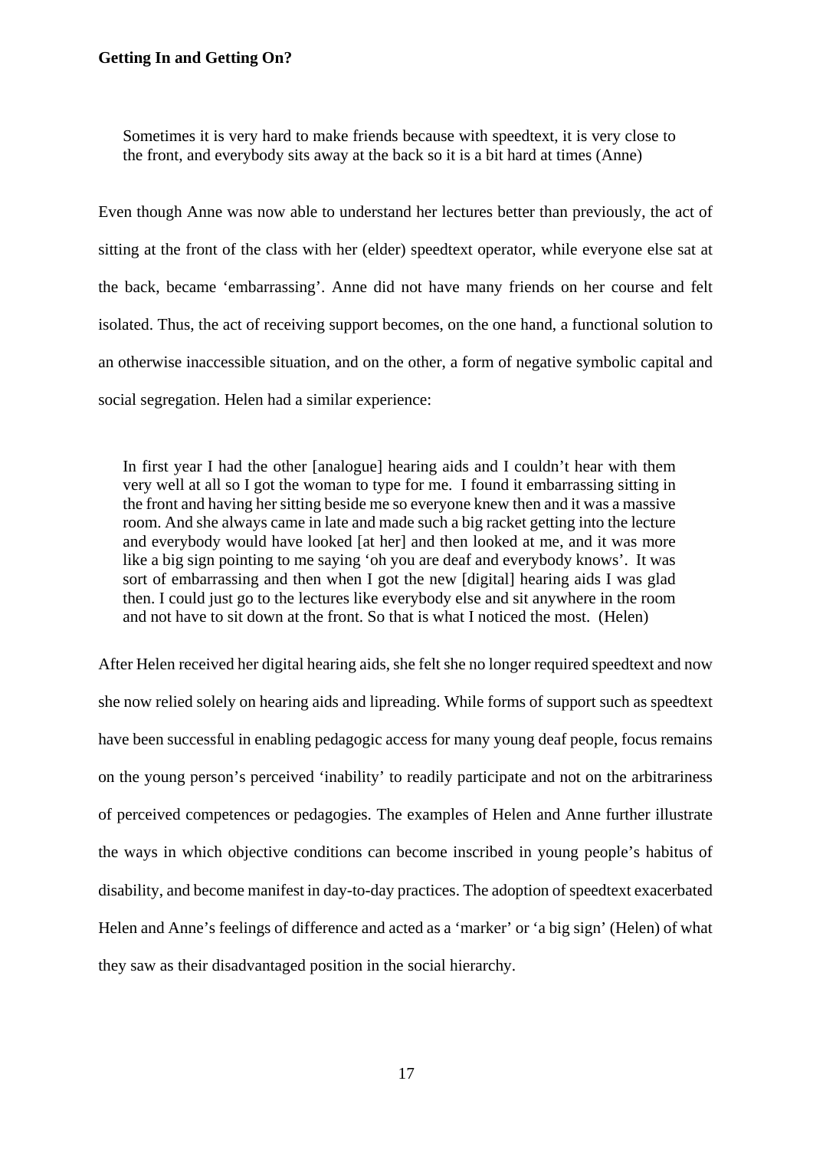Sometimes it is very hard to make friends because with speedtext, it is very close to the front, and everybody sits away at the back so it is a bit hard at times (Anne)

Even though Anne was now able to understand her lectures better than previously, the act of sitting at the front of the class with her (elder) speedtext operator, while everyone else sat at the back, became 'embarrassing'. Anne did not have many friends on her course and felt isolated. Thus, the act of receiving support becomes, on the one hand, a functional solution to an otherwise inaccessible situation, and on the other, a form of negative symbolic capital and social segregation. Helen had a similar experience:

In first year I had the other [analogue] hearing aids and I couldn't hear with them very well at all so I got the woman to type for me. I found it embarrassing sitting in the front and having her sitting beside me so everyone knew then and it was a massive room. And she always came in late and made such a big racket getting into the lecture and everybody would have looked [at her] and then looked at me, and it was more like a big sign pointing to me saying 'oh you are deaf and everybody knows'. It was sort of embarrassing and then when I got the new [digital] hearing aids I was glad then. I could just go to the lectures like everybody else and sit anywhere in the room and not have to sit down at the front. So that is what I noticed the most. (Helen)

After Helen received her digital hearing aids, she felt she no longer required speedtext and now she now relied solely on hearing aids and lipreading. While forms of support such as speedtext have been successful in enabling pedagogic access for many young deaf people, focus remains on the young person's perceived 'inability' to readily participate and not on the arbitrariness of perceived competences or pedagogies. The examples of Helen and Anne further illustrate the ways in which objective conditions can become inscribed in young people's habitus of disability, and become manifest in day-to-day practices. The adoption of speedtext exacerbated Helen and Anne's feelings of difference and acted as a 'marker' or 'a big sign' (Helen) of what they saw as their disadvantaged position in the social hierarchy.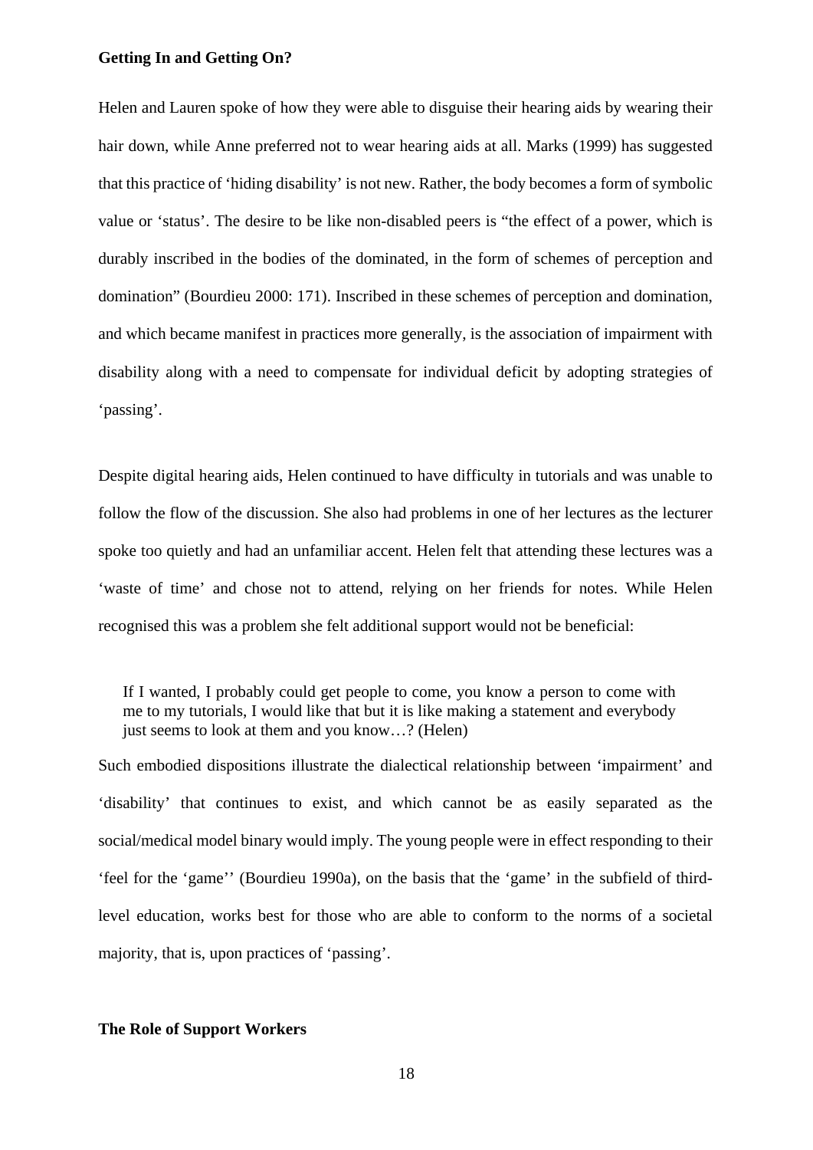Helen and Lauren spoke of how they were able to disguise their hearing aids by wearing their hair down, while Anne preferred not to wear hearing aids at all. Marks (1999) has suggested that this practice of 'hiding disability' is not new. Rather, the body becomes a form of symbolic value or 'status'. The desire to be like non-disabled peers is "the effect of a power, which is durably inscribed in the bodies of the dominated, in the form of schemes of perception and domination" (Bourdieu 2000: 171). Inscribed in these schemes of perception and domination, and which became manifest in practices more generally, is the association of impairment with disability along with a need to compensate for individual deficit by adopting strategies of 'passing'.

Despite digital hearing aids, Helen continued to have difficulty in tutorials and was unable to follow the flow of the discussion. She also had problems in one of her lectures as the lecturer spoke too quietly and had an unfamiliar accent. Helen felt that attending these lectures was a 'waste of time' and chose not to attend, relying on her friends for notes. While Helen recognised this was a problem she felt additional support would not be beneficial:

If I wanted, I probably could get people to come, you know a person to come with me to my tutorials, I would like that but it is like making a statement and everybody just seems to look at them and you know…? (Helen)

Such embodied dispositions illustrate the dialectical relationship between 'impairment' and 'disability' that continues to exist, and which cannot be as easily separated as the social/medical model binary would imply. The young people were in effect responding to their 'feel for the 'game'' (Bourdieu 1990a), on the basis that the 'game' in the subfield of thirdlevel education, works best for those who are able to conform to the norms of a societal majority, that is, upon practices of 'passing'.

# **The Role of Support Workers**

18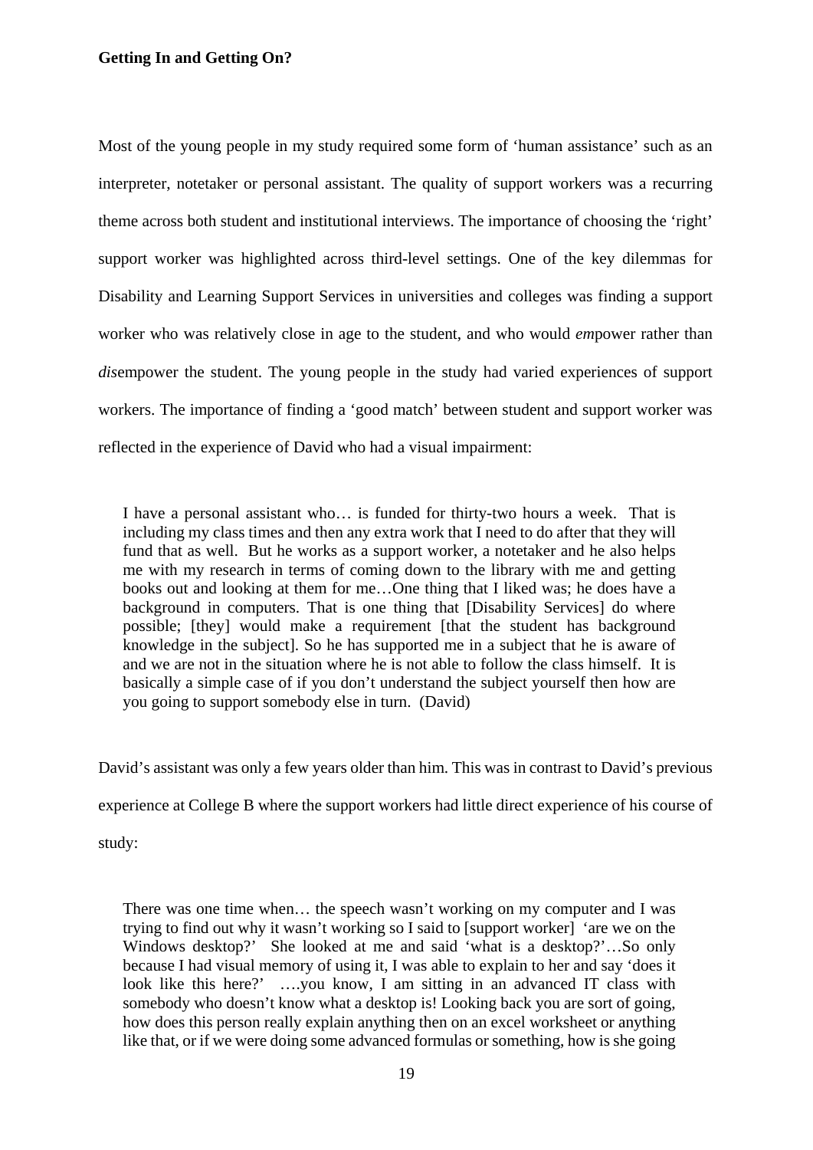Most of the young people in my study required some form of 'human assistance' such as an interpreter, notetaker or personal assistant. The quality of support workers was a recurring theme across both student and institutional interviews. The importance of choosing the 'right' support worker was highlighted across third-level settings. One of the key dilemmas for Disability and Learning Support Services in universities and colleges was finding a support worker who was relatively close in age to the student, and who would *em*power rather than *dis*empower the student. The young people in the study had varied experiences of support workers. The importance of finding a 'good match' between student and support worker was reflected in the experience of David who had a visual impairment:

I have a personal assistant who… is funded for thirty-two hours a week. That is including my class times and then any extra work that I need to do after that they will fund that as well. But he works as a support worker, a notetaker and he also helps me with my research in terms of coming down to the library with me and getting books out and looking at them for me…One thing that I liked was; he does have a background in computers. That is one thing that [Disability Services] do where possible; [they] would make a requirement [that the student has background knowledge in the subject]. So he has supported me in a subject that he is aware of and we are not in the situation where he is not able to follow the class himself. It is basically a simple case of if you don't understand the subject yourself then how are you going to support somebody else in turn. (David)

David's assistant was only a few years older than him. This was in contrast to David's previous

experience at College B where the support workers had little direct experience of his course of

study:

There was one time when… the speech wasn't working on my computer and I was trying to find out why it wasn't working so I said to [support worker] 'are we on the Windows desktop?' She looked at me and said 'what is a desktop?'…So only because I had visual memory of using it, I was able to explain to her and say 'does it look like this here?' ….you know, I am sitting in an advanced IT class with somebody who doesn't know what a desktop is! Looking back you are sort of going, how does this person really explain anything then on an excel worksheet or anything like that, or if we were doing some advanced formulas or something, how is she going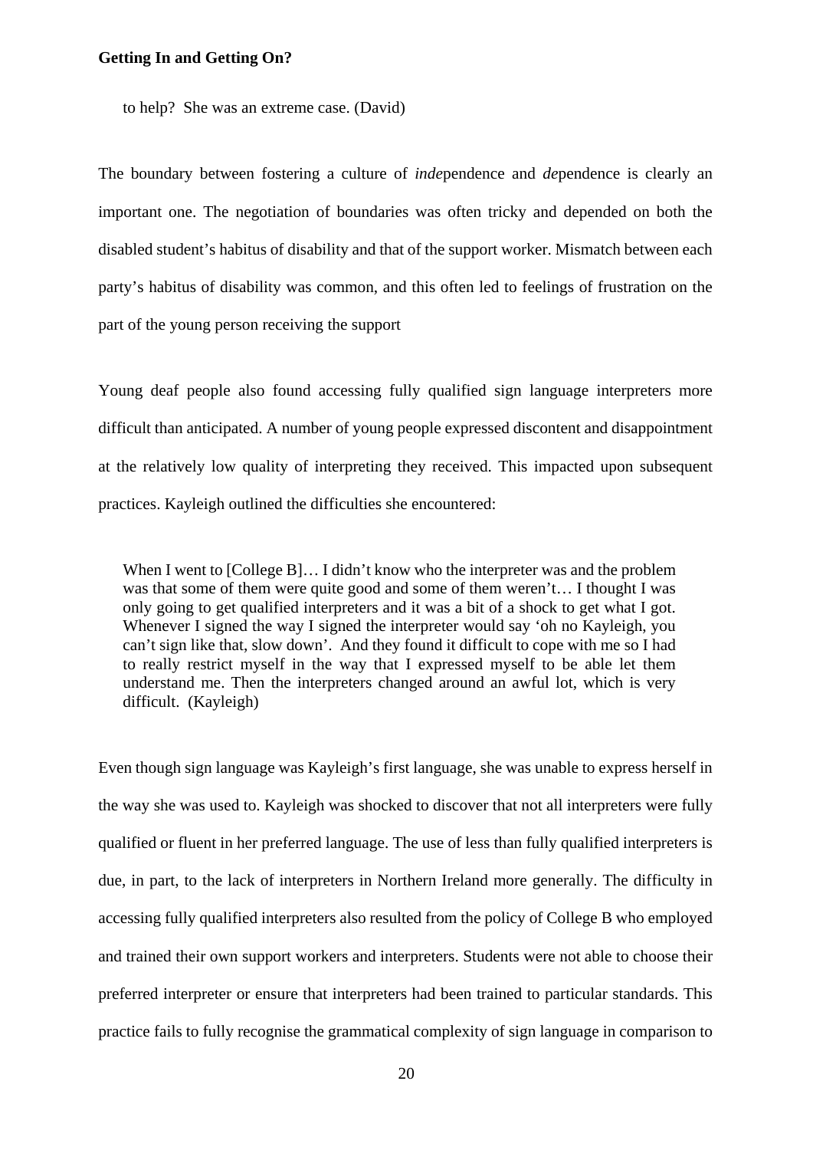to help? She was an extreme case. (David)

The boundary between fostering a culture of *inde*pendence and *de*pendence is clearly an important one. The negotiation of boundaries was often tricky and depended on both the disabled student's habitus of disability and that of the support worker. Mismatch between each party's habitus of disability was common, and this often led to feelings of frustration on the part of the young person receiving the support

Young deaf people also found accessing fully qualified sign language interpreters more difficult than anticipated. A number of young people expressed discontent and disappointment at the relatively low quality of interpreting they received. This impacted upon subsequent practices. Kayleigh outlined the difficulties she encountered:

When I went to [College B]... I didn't know who the interpreter was and the problem was that some of them were quite good and some of them weren't… I thought I was only going to get qualified interpreters and it was a bit of a shock to get what I got. Whenever I signed the way I signed the interpreter would say 'oh no Kayleigh, you can't sign like that, slow down'. And they found it difficult to cope with me so I had to really restrict myself in the way that I expressed myself to be able let them understand me. Then the interpreters changed around an awful lot, which is very difficult. (Kayleigh)

Even though sign language was Kayleigh's first language, she was unable to express herself in the way she was used to. Kayleigh was shocked to discover that not all interpreters were fully qualified or fluent in her preferred language. The use of less than fully qualified interpreters is due, in part, to the lack of interpreters in Northern Ireland more generally. The difficulty in accessing fully qualified interpreters also resulted from the policy of College B who employed and trained their own support workers and interpreters. Students were not able to choose their preferred interpreter or ensure that interpreters had been trained to particular standards. This practice fails to fully recognise the grammatical complexity of sign language in comparison to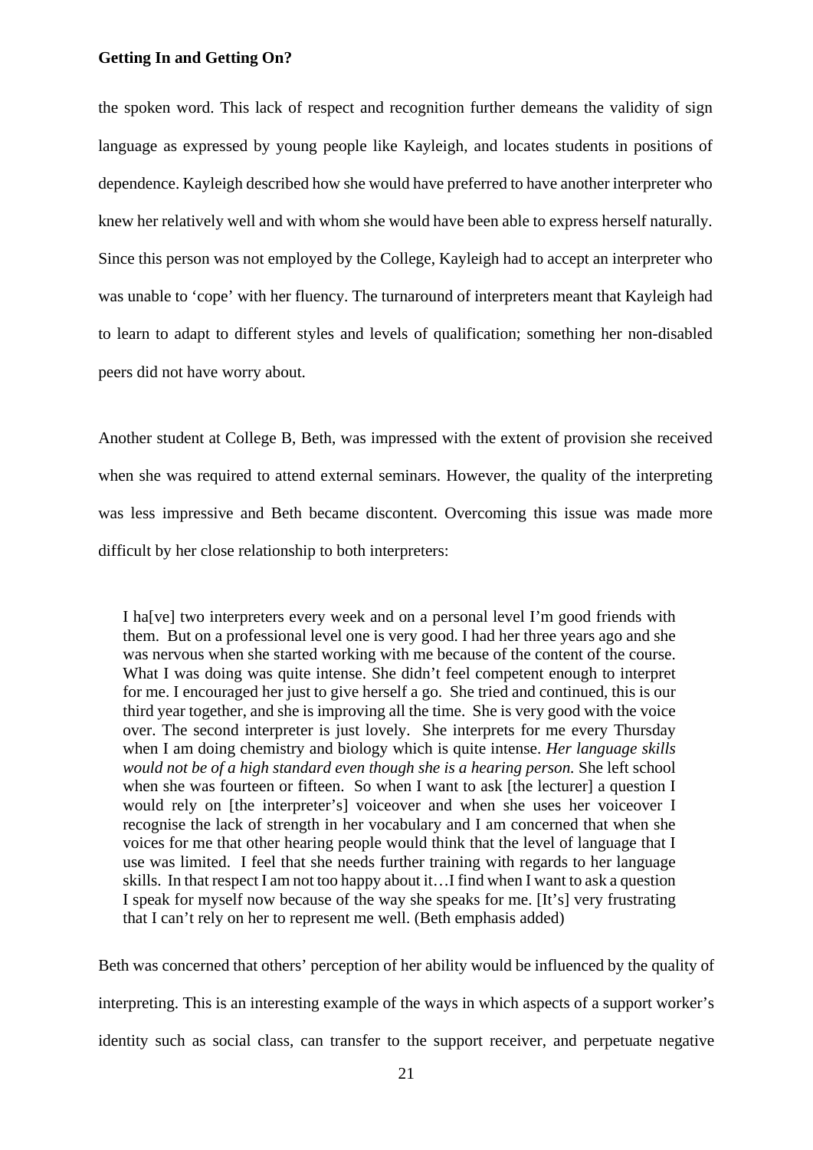the spoken word. This lack of respect and recognition further demeans the validity of sign language as expressed by young people like Kayleigh, and locates students in positions of dependence. Kayleigh described how she would have preferred to have another interpreter who knew her relatively well and with whom she would have been able to express herself naturally. Since this person was not employed by the College, Kayleigh had to accept an interpreter who was unable to 'cope' with her fluency. The turnaround of interpreters meant that Kayleigh had to learn to adapt to different styles and levels of qualification; something her non-disabled peers did not have worry about.

Another student at College B, Beth, was impressed with the extent of provision she received when she was required to attend external seminars. However, the quality of the interpreting was less impressive and Beth became discontent. Overcoming this issue was made more difficult by her close relationship to both interpreters:

I ha[ve] two interpreters every week and on a personal level I'm good friends with them. But on a professional level one is very good. I had her three years ago and she was nervous when she started working with me because of the content of the course. What I was doing was quite intense. She didn't feel competent enough to interpret for me. I encouraged her just to give herself a go. She tried and continued, this is our third year together, and she is improving all the time. She is very good with the voice over. The second interpreter is just lovely. She interprets for me every Thursday when I am doing chemistry and biology which is quite intense. *Her language skills would not be of a high standard even though she is a hearing person.* She left school when she was fourteen or fifteen. So when I want to ask [the lecturer] a question I would rely on [the interpreter's] voiceover and when she uses her voiceover I recognise the lack of strength in her vocabulary and I am concerned that when she voices for me that other hearing people would think that the level of language that I use was limited. I feel that she needs further training with regards to her language skills. In that respect I am not too happy about it…I find when I want to ask a question I speak for myself now because of the way she speaks for me. [It's] very frustrating that I can't rely on her to represent me well. (Beth emphasis added)

Beth was concerned that others' perception of her ability would be influenced by the quality of interpreting. This is an interesting example of the ways in which aspects of a support worker's identity such as social class, can transfer to the support receiver, and perpetuate negative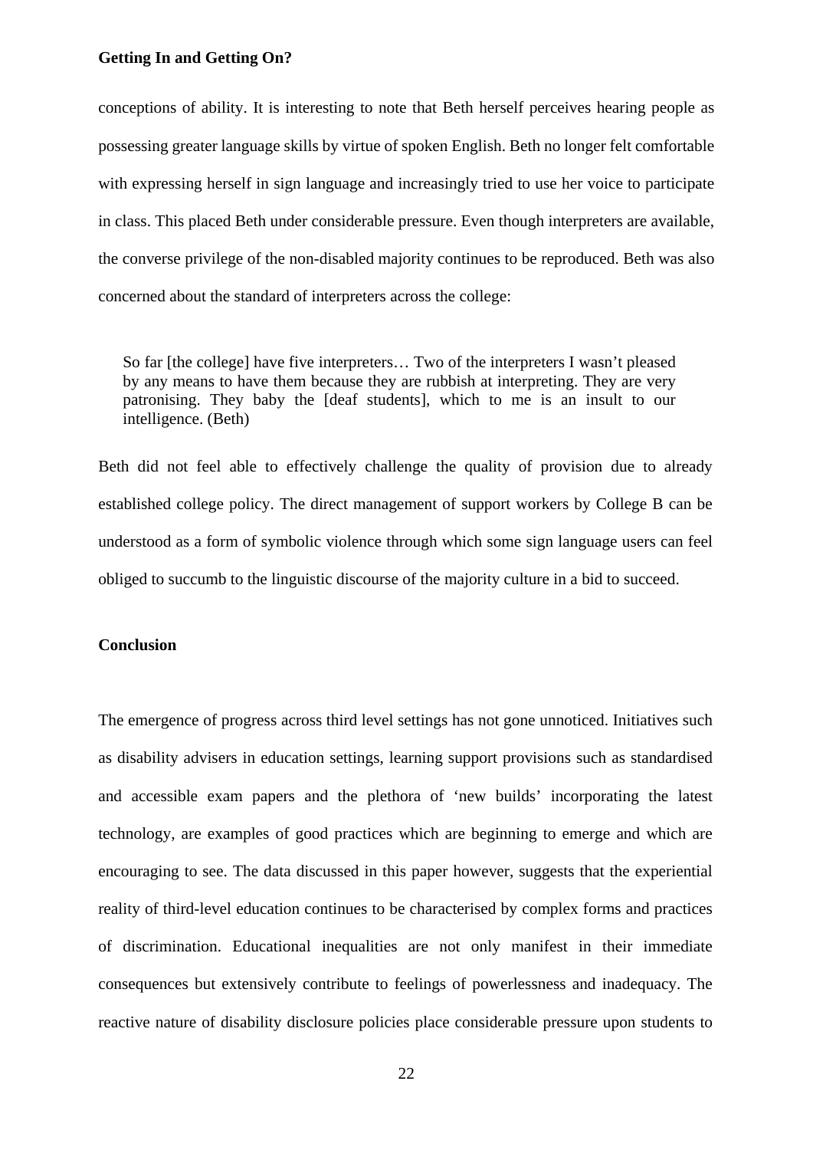conceptions of ability. It is interesting to note that Beth herself perceives hearing people as possessing greater language skills by virtue of spoken English. Beth no longer felt comfortable with expressing herself in sign language and increasingly tried to use her voice to participate in class. This placed Beth under considerable pressure. Even though interpreters are available, the converse privilege of the non-disabled majority continues to be reproduced. Beth was also concerned about the standard of interpreters across the college:

So far [the college] have five interpreters… Two of the interpreters I wasn't pleased by any means to have them because they are rubbish at interpreting. They are very patronising. They baby the [deaf students], which to me is an insult to our intelligence. (Beth)

Beth did not feel able to effectively challenge the quality of provision due to already established college policy. The direct management of support workers by College B can be understood as a form of symbolic violence through which some sign language users can feel obliged to succumb to the linguistic discourse of the majority culture in a bid to succeed.

## **Conclusion**

The emergence of progress across third level settings has not gone unnoticed. Initiatives such as disability advisers in education settings, learning support provisions such as standardised and accessible exam papers and the plethora of 'new builds' incorporating the latest technology, are examples of good practices which are beginning to emerge and which are encouraging to see. The data discussed in this paper however, suggests that the experiential reality of third-level education continues to be characterised by complex forms and practices of discrimination. Educational inequalities are not only manifest in their immediate consequences but extensively contribute to feelings of powerlessness and inadequacy. The reactive nature of disability disclosure policies place considerable pressure upon students to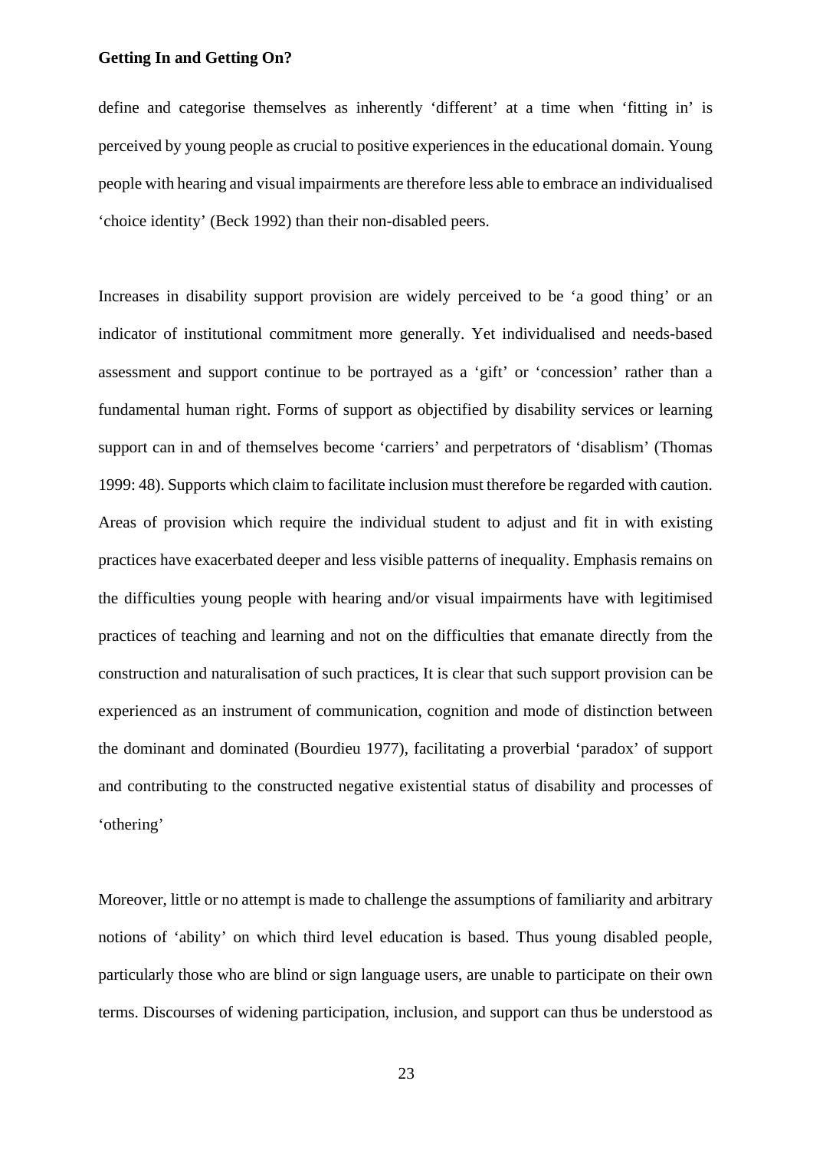define and categorise themselves as inherently 'different' at a time when 'fitting in' is perceived by young people as crucial to positive experiences in the educational domain. Young people with hearing and visual impairments are therefore less able to embrace an individualised 'choice identity' (Beck 1992) than their non-disabled peers.

Increases in disability support provision are widely perceived to be 'a good thing' or an indicator of institutional commitment more generally. Yet individualised and needs-based assessment and support continue to be portrayed as a 'gift' or 'concession' rather than a fundamental human right. Forms of support as objectified by disability services or learning support can in and of themselves become 'carriers' and perpetrators of 'disablism' (Thomas 1999: 48). Supports which claim to facilitate inclusion must therefore be regarded with caution. Areas of provision which require the individual student to adjust and fit in with existing practices have exacerbated deeper and less visible patterns of inequality. Emphasis remains on the difficulties young people with hearing and/or visual impairments have with legitimised practices of teaching and learning and not on the difficulties that emanate directly from the construction and naturalisation of such practices, It is clear that such support provision can be experienced as an instrument of communication, cognition and mode of distinction between the dominant and dominated (Bourdieu 1977), facilitating a proverbial 'paradox' of support and contributing to the constructed negative existential status of disability and processes of 'othering'

Moreover, little or no attempt is made to challenge the assumptions of familiarity and arbitrary notions of 'ability' on which third level education is based. Thus young disabled people, particularly those who are blind or sign language users, are unable to participate on their own terms. Discourses of widening participation, inclusion, and support can thus be understood as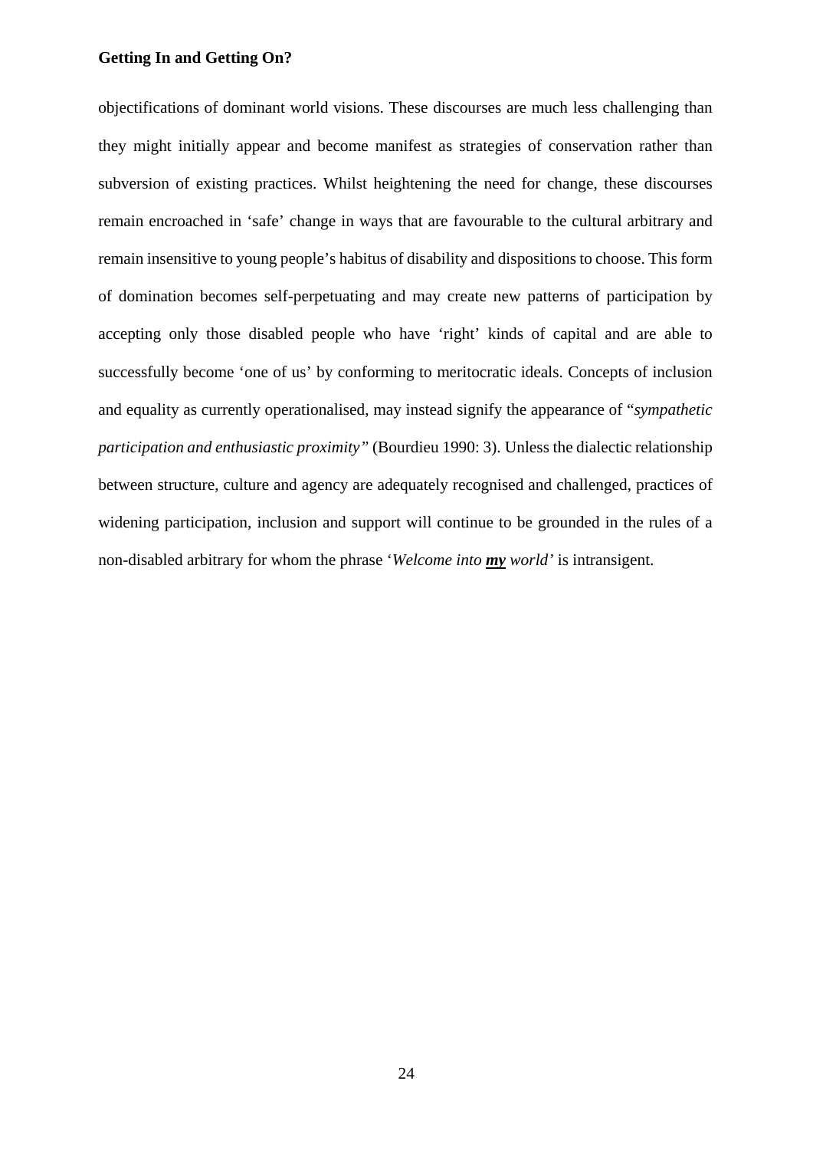objectifications of dominant world visions. These discourses are much less challenging than they might initially appear and become manifest as strategies of conservation rather than subversion of existing practices. Whilst heightening the need for change, these discourses remain encroached in 'safe' change in ways that are favourable to the cultural arbitrary and remain insensitive to young people's habitus of disability and dispositions to choose. This form of domination becomes self-perpetuating and may create new patterns of participation by accepting only those disabled people who have 'right' kinds of capital and are able to successfully become 'one of us' by conforming to meritocratic ideals. Concepts of inclusion and equality as currently operationalised, may instead signify the appearance of "*sympathetic participation and enthusiastic proximity"* (Bourdieu 1990: 3). Unless the dialectic relationship between structure, culture and agency are adequately recognised and challenged, practices of widening participation, inclusion and support will continue to be grounded in the rules of a non-disabled arbitrary for whom the phrase '*Welcome into my world'* is intransigent.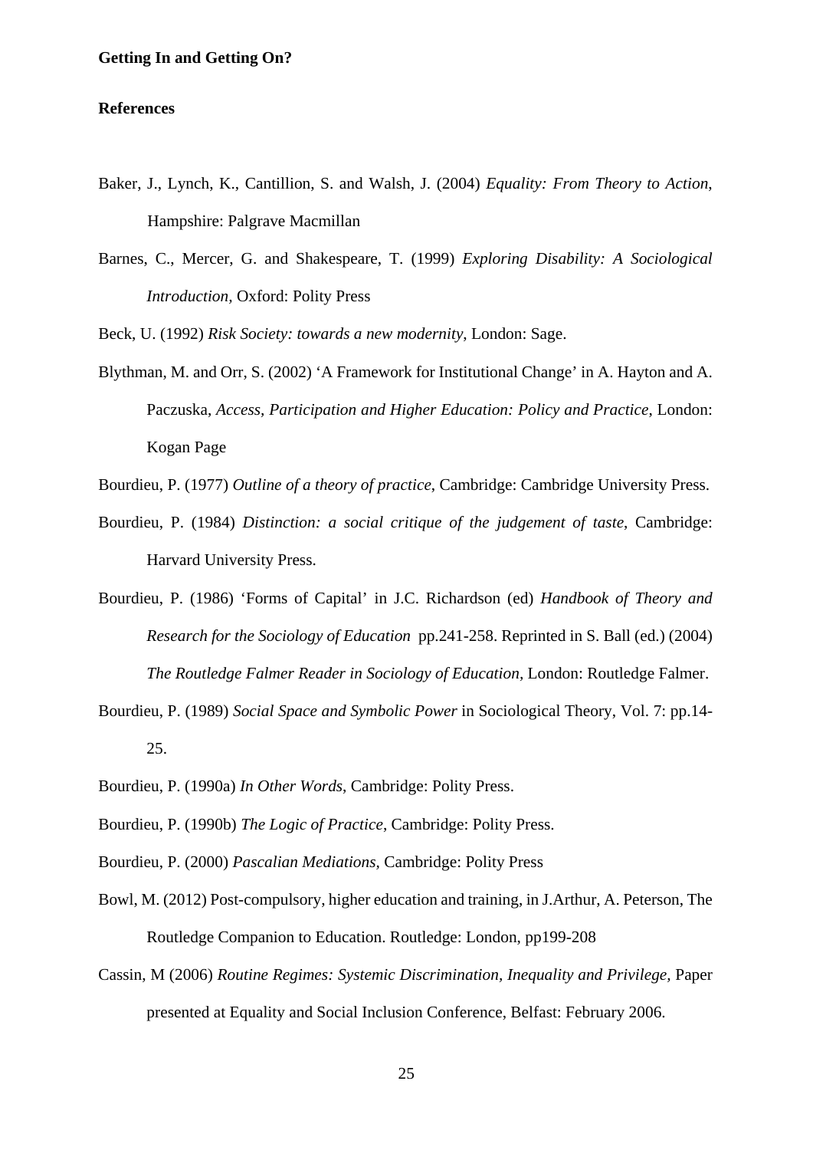#### **References**

- Baker, J., Lynch, K., Cantillion, S. and Walsh, J. (2004) *Equality: From Theory to Action*, Hampshire: Palgrave Macmillan
- Barnes, C., Mercer, G. and Shakespeare, T. (1999) *Exploring Disability: A Sociological Introduction,* Oxford: Polity Press

Beck, U. (1992) *Risk Society: towards a new modernity*, London: Sage.

- Blythman, M. and Orr, S. (2002) 'A Framework for Institutional Change' in A. Hayton and A. Paczuska, *Access, Participation and Higher Education: Policy and Practice*, London: Kogan Page
- Bourdieu, P. (1977) *Outline of a theory of practice*, Cambridge: Cambridge University Press.
- Bourdieu, P. (1984) *Distinction: a social critique of the judgement of taste*, Cambridge: Harvard University Press.
- Bourdieu, P. (1986) 'Forms of Capital' in J.C. Richardson (ed) *Handbook of Theory and Research for the Sociology of Education* pp.241-258. Reprinted in S. Ball (ed.) (2004) *The Routledge Falmer Reader in Sociology of Education,* London: Routledge Falmer.
- Bourdieu, P. (1989) *Social Space and Symbolic Power* in Sociological Theory, Vol. 7: pp.14- 25.
- Bourdieu, P. (1990a) *In Other Words*, Cambridge: Polity Press.
- Bourdieu, P. (1990b) *The Logic of Practice*, Cambridge: Polity Press.
- Bourdieu, P. (2000) *Pascalian Mediations,* Cambridge: Polity Press
- Bowl, M. (2012) Post-compulsory, higher education and training, in J.Arthur, A. Peterson, The Routledge Companion to Education. Routledge: London, pp199-208
- Cassin, M (2006) *Routine Regimes: Systemic Discrimination, Inequality and Privilege,* Paper presented at Equality and Social Inclusion Conference, Belfast: February 2006.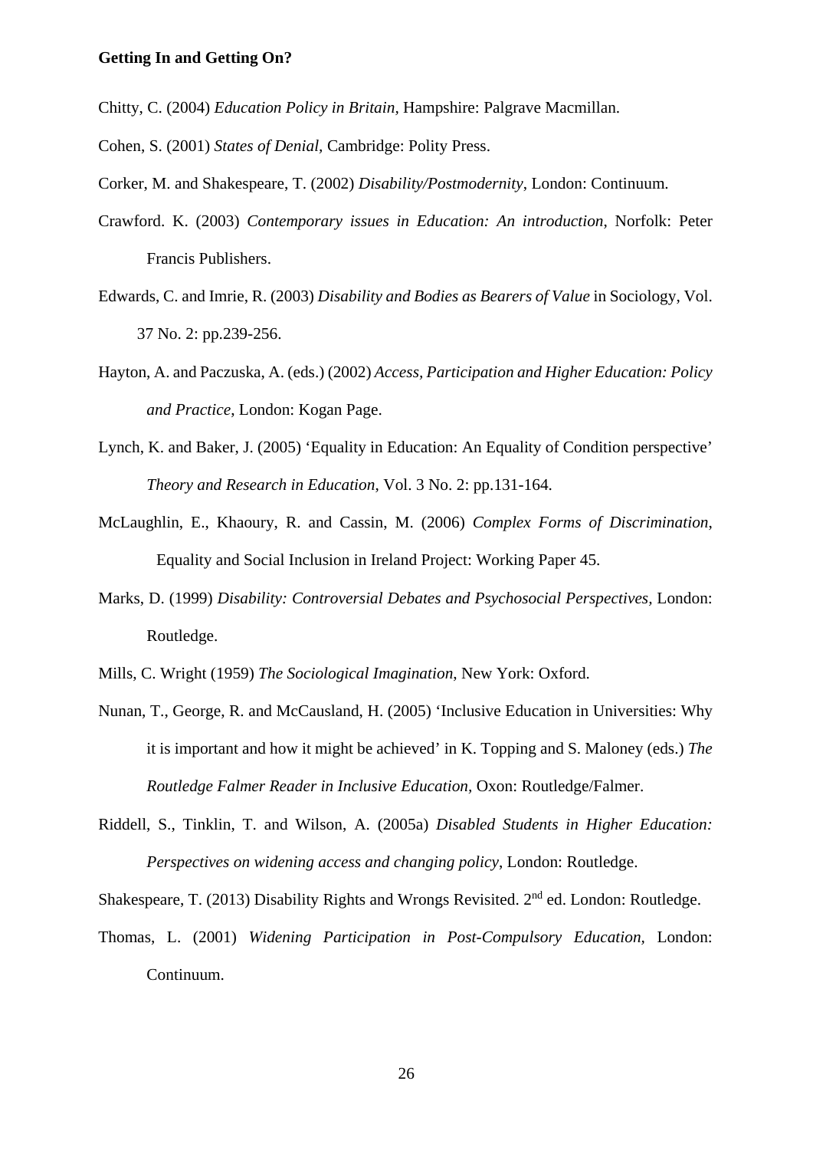Chitty, C. (2004) *Education Policy in Britain,* Hampshire: Palgrave Macmillan.

Cohen, S. (2001) *States of Denial,* Cambridge: Polity Press.

Corker, M. and Shakespeare, T. (2002) *Disability/Postmodernity*, London: Continuum.

- Crawford. K. (2003) *Contemporary issues in Education: An introduction*, Norfolk: Peter Francis Publishers.
- Edwards, C. and Imrie, R. (2003) *Disability and Bodies as Bearers of Value* in Sociology, Vol. 37 No. 2: pp.239-256.
- Hayton, A. and Paczuska, A. (eds.) (2002) *Access, Participation and Higher Education: Policy and Practice*, London: Kogan Page.
- Lynch, K. and Baker, J. (2005) 'Equality in Education: An Equality of Condition perspective' *Theory and Research in Education*, Vol. 3 No. 2: pp.131-164.
- McLaughlin, E., Khaoury, R. and Cassin, M. (2006) *Complex Forms of Discrimination*, Equality and Social Inclusion in Ireland Project: Working Paper 45.
- Marks, D. (1999) *Disability: Controversial Debates and Psychosocial Perspectives,* London: Routledge.
- Mills, C. Wright (1959) *The Sociological Imagination*, New York: Oxford.
- Nunan, T., George, R. and McCausland, H. (2005) 'Inclusive Education in Universities: Why it is important and how it might be achieved' in K. Topping and S. Maloney (eds.) *The Routledge Falmer Reader in Inclusive Education,* Oxon: Routledge/Falmer.
- Riddell, S., Tinklin, T. and Wilson, A. (2005a) *Disabled Students in Higher Education: Perspectives on widening access and changing policy*, London: Routledge.

Shakespeare, T. (2013) Disability Rights and Wrongs Revisited. 2<sup>nd</sup> ed. London: Routledge.

Thomas, L. (2001) *Widening Participation in Post-Compulsory Education,* London: Continuum.